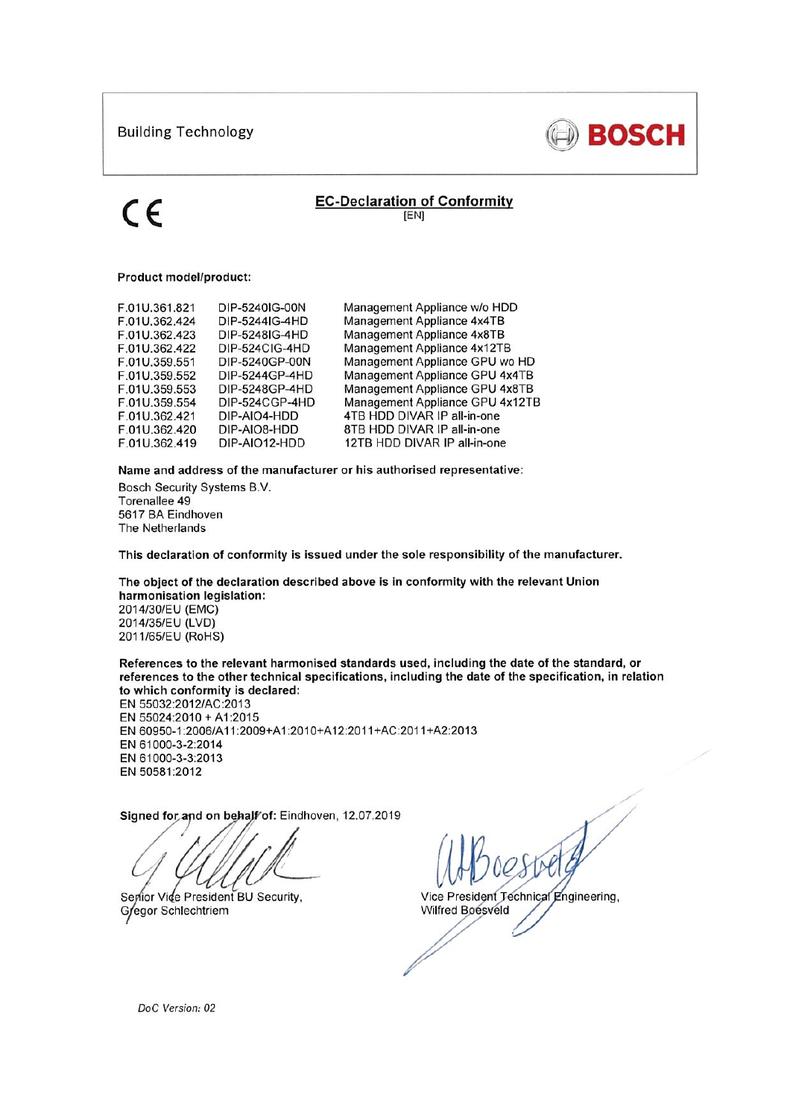

## **EC-Declaration of Conformity** [EN]

### Product model/product:

| F.01U.361.821 | DIP-5240IG-00N | Management Appliance w/o HDD    |
|---------------|----------------|---------------------------------|
| F.01U.362.424 | DIP-5244IG-4HD | Management Appliance 4x4TB      |
| F.01U.362.423 | DIP-5248IG-4HD | Management Appliance 4x8TB      |
| F.01U.362.422 | DIP-524CIG-4HD | Management Appliance 4x12TB     |
| F.01U.359.551 | DIP-5240GP-00N | Management Appliance GPU wo HD  |
| F.01U.359.552 | DIP-5244GP-4HD | Management Appliance GPU 4x4TB  |
| F.01U.359.553 | DIP-5248GP-4HD | Management Appliance GPU 4x8TB  |
| F.01U.359.554 | DIP-524CGP-4HD | Management Appliance GPU 4x12TB |
| F.01U.362.421 | DIP-AIO4-HDD   | 4TB HDD DIVAR IP all-in-one     |
| F.01U.362.420 | DIP-AIO8-HDD   | 8TB HDD DIVAR IP all-in-one     |
| F.01U.362.419 | DIP-AIO12-HDD  | 12TB HDD DIVAR IP all-in-one    |
|               |                |                                 |

Name and address of the manufacturer or his authorised representative:

Bosch Security Systems B.V. Torenallee 49 5617 BA Eindhoven The Netherlands

This declaration of conformity is issued under the sole responsibility of the manufacturer.

The object of the declaration described above is in conformity with the relevant Union harmonisation legislation: 2014/30/EU (EMC) 2014/35/EU (LVD) 2011/65/EU (RoHS)

References to the relevant harmonised standards used, including the date of the standard, or references to the other technical specifications, including the date of the specification, in relation to which conformity is declared:

EN 55032:2012/AC:2013 EN 55024:2010 + A1:2015 EN 60950-1:2006/A11:2009+A1:2010+A12:2011+AC:2011+A2:2013 EN 61000-3-2:2014 EN 61000-3-3:2013 EN 50581:2012

Signed for and on behalf of: Eindhoven, 12.07.2019

Senior Vide President BU Security, Gregor Schlechtriem

Vice President Technical Engineering, Wilfred Boesveld

DoC Version: 02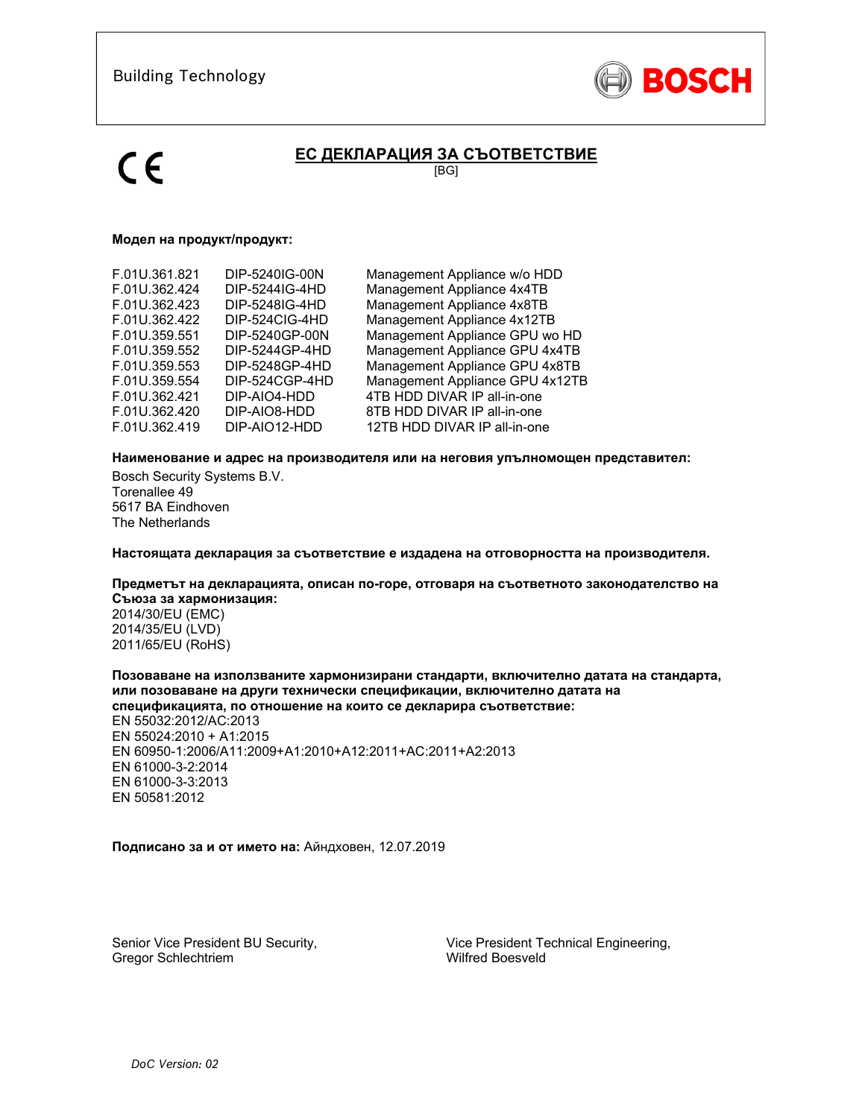

# **ЕС ДЕКЛАРАЦИЯ ЗА СЪОТВЕТСТВИЕ**

[BG]

### **Модел на продукт/продукт:**

| F.01U.361.821<br>F.01U.362.424<br>F.01U.362.423<br>F.01U.362.422<br>F.01U.359.551<br>F.01U.359.552<br>F.01U.359.553<br>F.01U.359.554<br>F.01U.362.421<br>F.01U.362.420 | DIP-5240IG-00N<br>DIP-5244IG-4HD<br>DIP-5248IG-4HD<br>DIP-524CIG-4HD<br>DIP-5240GP-00N<br>DIP-5244GP-4HD<br>DIP-5248GP-4HD<br>DIP-524CGP-4HD<br>DIP-AIO4-HDD<br>DIP-AIO8-HDD | Management Appliance w/o HDD<br>Management Appliance 4x4TB<br>Management Appliance 4x8TB<br>Management Appliance 4x12TB<br>Management Appliance GPU wo HD<br>Management Appliance GPU 4x4TB<br>Management Appliance GPU 4x8TB<br>Management Appliance GPU 4x12TB<br>4TB HDD DIVAR IP all-in-one<br>8TB HDD DIVAR IP all-in-one |
|------------------------------------------------------------------------------------------------------------------------------------------------------------------------|------------------------------------------------------------------------------------------------------------------------------------------------------------------------------|--------------------------------------------------------------------------------------------------------------------------------------------------------------------------------------------------------------------------------------------------------------------------------------------------------------------------------|
| F.01U.362.419                                                                                                                                                          | DIP-AIO12-HDD                                                                                                                                                                | 12TB HDD DIVAR IP all-in-one                                                                                                                                                                                                                                                                                                   |
|                                                                                                                                                                        |                                                                                                                                                                              |                                                                                                                                                                                                                                                                                                                                |

### **Наименование и адрес на производителя или на неговия упълномощен представител:**

Bosch Security Systems B.V. Torenallee 49 5617 BA Eindhoven The Netherlands

**Настоящата декларация за съответствие е издадена на отговорността на производителя.** 

### **Предметът на декларацията, описан по-горе, отговаря на съответното законодателство на Съюза за хармонизация:**

2014/30/EU (EMC) 2014/35/EU (LVD) 2011/65/EU (RoHS)

#### **Позоваване на използваните хармонизирани стандарти, включително датата на стандарта, или позоваване на други технически спецификации, включително датата на спецификацията, по отношение на които се декларира съответствие:**

EN 55032:2012/AC:2013 EN 55024:2010 + A1:2015 EN 60950-1:2006/A11:2009+A1:2010+A12:2011+AC:2011+A2:2013 EN 61000-3-2:2014 EN 61000-3-3:2013 EN 50581:2012

### **Подписано за и от името на:** Айндховен, 12.07.2019

Senior Vice President BU Security, Gregor Schlechtriem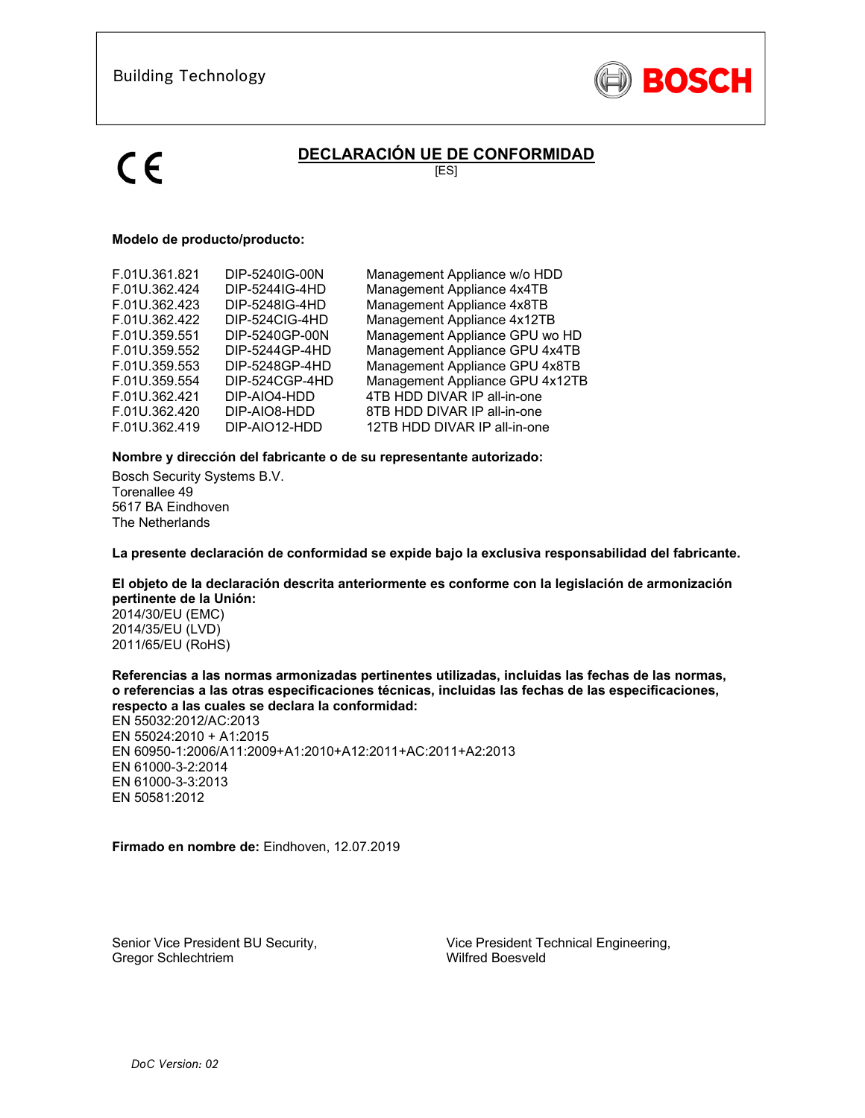

# **DECLARACIÓN UE DE CONFORMIDAD**

[ES]

### **Modelo de producto/producto:**

| F.01U.361.821 | DIP-5240IG-00N | Management Appliance w/o HDD    |
|---------------|----------------|---------------------------------|
| F.01U.362.424 | DIP-5244IG-4HD | Management Appliance 4x4TB      |
| F.01U.362.423 | DIP-5248IG-4HD | Management Appliance 4x8TB      |
| F.01U.362.422 | DIP-524CIG-4HD | Management Appliance 4x12TB     |
| F.01U.359.551 | DIP-5240GP-00N | Management Appliance GPU wo HD  |
| F.01U.359.552 | DIP-5244GP-4HD | Management Appliance GPU 4x4TB  |
| F.01U.359.553 | DIP-5248GP-4HD | Management Appliance GPU 4x8TB  |
| F.01U.359.554 | DIP-524CGP-4HD | Management Appliance GPU 4x12TB |
| F.01U.362.421 | DIP-AIO4-HDD   | 4TB HDD DIVAR IP all-in-one     |
| F.01U.362.420 | DIP-AIO8-HDD   | 8TB HDD DIVAR IP all-in-one     |
| F.01U.362.419 | DIP-AIO12-HDD  | 12TB HDD DIVAR IP all-in-one    |

### **Nombre y dirección del fabricante o de su representante autorizado:**

Bosch Security Systems B.V. Torenallee 49 5617 BA Eindhoven The Netherlands

**La presente declaración de conformidad se expide bajo la exclusiva responsabilidad del fabricante.** 

## **El objeto de la declaración descrita anteriormente es conforme con la legislación de armonización pertinente de la Unión:**

2014/30/EU (EMC) 2014/35/EU (LVD) 2011/65/EU (RoHS)

**Referencias a las normas armonizadas pertinentes utilizadas, incluidas las fechas de las normas, o referencias a las otras especificaciones técnicas, incluidas las fechas de las especificaciones, respecto a las cuales se declara la conformidad:** 

EN 55032:2012/AC:2013 EN 55024:2010 + A1:2015 EN 60950-1:2006/A11:2009+A1:2010+A12:2011+AC:2011+A2:2013 EN 61000-3-2:2014 EN 61000-3-3:2013 EN 50581:2012

**Firmado en nombre de:** Eindhoven, 12.07.2019

Senior Vice President BU Security, Gregor Schlechtriem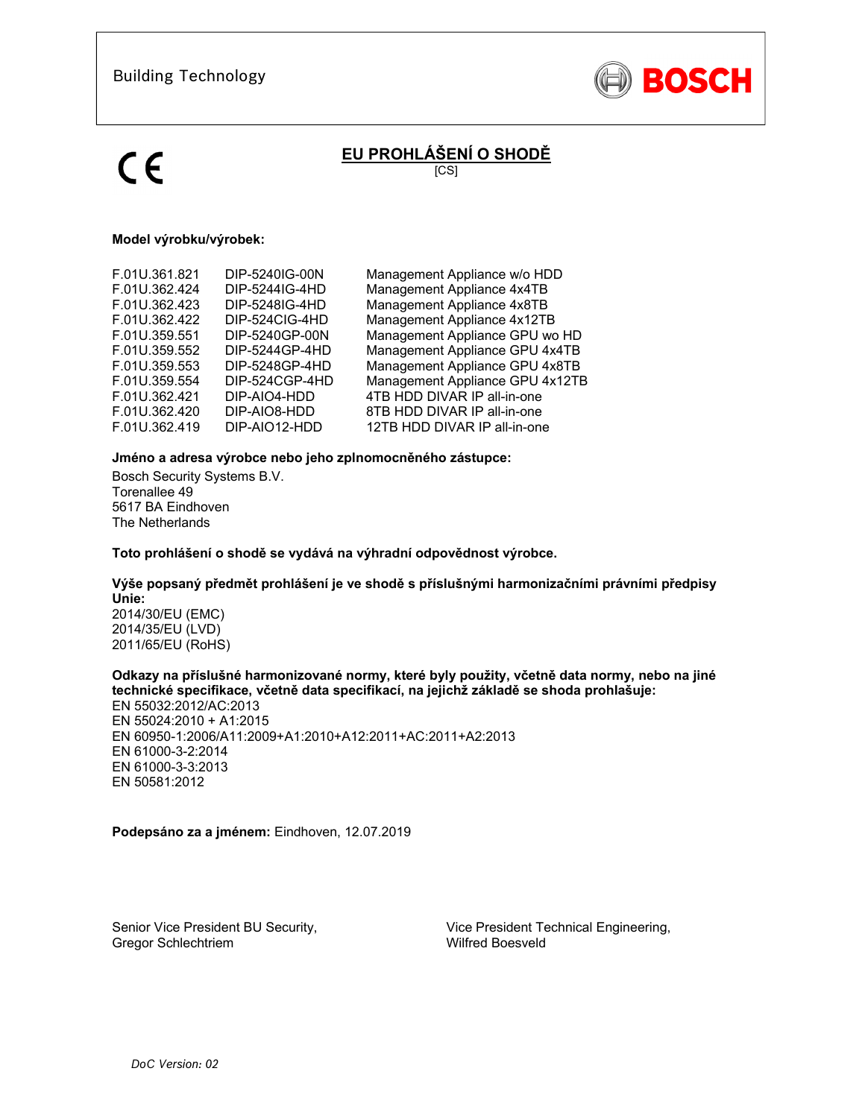

# **EU PROHLÁŠENÍ O SHODĚ**

[CS]

### **Model výrobku/výrobek:**

| F.01U.361.821 | DIP-5240IG-00N | Management Appliance w/o HDD    |
|---------------|----------------|---------------------------------|
| F.01U.362.424 | DIP-5244IG-4HD | Management Appliance 4x4TB      |
| F.01U.362.423 | DIP-5248IG-4HD | Management Appliance 4x8TB      |
| F.01U.362.422 | DIP-524CIG-4HD | Management Appliance 4x12TB     |
| F.01U.359.551 | DIP-5240GP-00N | Management Appliance GPU wo HD  |
| F.01U.359.552 | DIP-5244GP-4HD | Management Appliance GPU 4x4TB  |
| F.01U.359.553 | DIP-5248GP-4HD | Management Appliance GPU 4x8TB  |
| F.01U.359.554 | DIP-524CGP-4HD | Management Appliance GPU 4x12TB |
| F.01U.362.421 | DIP-AIO4-HDD   | 4TB HDD DIVAR IP all-in-one     |
| F.01U.362.420 | DIP-AIO8-HDD   | 8TB HDD DIVAR IP all-in-one     |
| F.01U.362.419 | DIP-AIO12-HDD  | 12TB HDD DIVAR IP all-in-one    |
|               |                |                                 |

### **Jméno a adresa výrobce nebo jeho zplnomocněného zástupce:**

Bosch Security Systems B.V. Torenallee 49 5617 BA Eindhoven The Netherlands

**Toto prohlášení o shodě se vydává na výhradní odpovědnost výrobce.** 

# **Výše popsaný předmět prohlášení je ve shodě s příslušnými harmonizačními právními předpisy Unie:**

2014/30/EU (EMC) 2014/35/EU (LVD) 2011/65/EU (RoHS)

### **Odkazy na příslušné harmonizované normy, které byly použity, včetně data normy, nebo na jiné technické specifikace, včetně data specifikací, na jejichž základě se shoda prohlašuje:**

EN 55032:2012/AC:2013 EN 55024:2010 + A1:2015 EN 60950-1:2006/A11:2009+A1:2010+A12:2011+AC:2011+A2:2013 EN 61000-3-2:2014 EN 61000-3-3:2013 EN 50581:2012

**Podepsáno za a jménem:** Eindhoven, 12.07.2019

Senior Vice President BU Security, Gregor Schlechtriem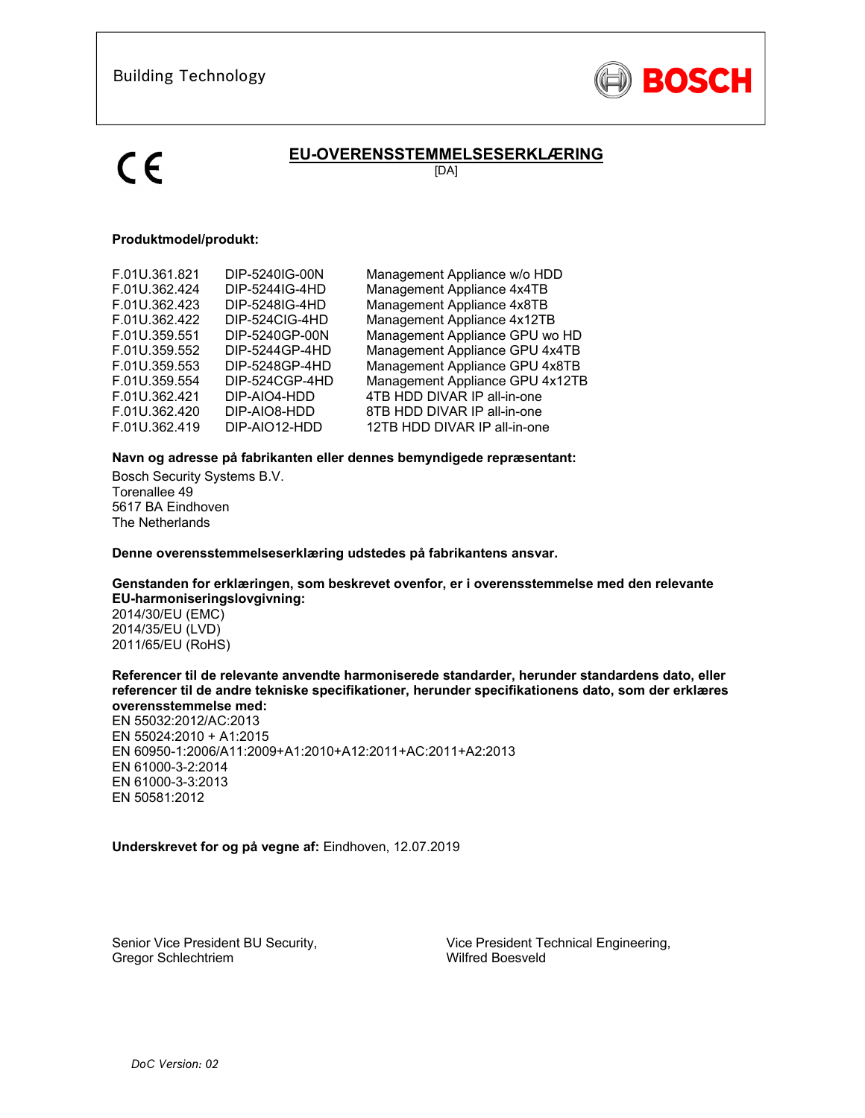

# **EU-OVERENSSTEMMELSESERKLÆRING**

[DA]

## **Produktmodel/produkt:**

| F.01U.361.821 | DIP-5240IG-00N | Management Appliance w/o HDD    |
|---------------|----------------|---------------------------------|
| F.01U.362.424 | DIP-5244IG-4HD | Management Appliance 4x4TB      |
| F.01U.362.423 | DIP-5248IG-4HD | Management Appliance 4x8TB      |
| F.01U.362.422 | DIP-524CIG-4HD | Management Appliance 4x12TB     |
| F.01U.359.551 | DIP-5240GP-00N | Management Appliance GPU wo HD  |
| F.01U.359.552 | DIP-5244GP-4HD | Management Appliance GPU 4x4TB  |
| F.01U.359.553 | DIP-5248GP-4HD | Management Appliance GPU 4x8TB  |
| F.01U.359.554 | DIP-524CGP-4HD | Management Appliance GPU 4x12TB |
| F.01U.362.421 | DIP-AIO4-HDD   | 4TB HDD DIVAR IP all-in-one     |
| F.01U.362.420 | DIP-AIO8-HDD   | 8TB HDD DIVAR IP all-in-one     |
| F.01U.362.419 | DIP-AIO12-HDD  | 12TB HDD DIVAR IP all-in-one    |

### **Navn og adresse på fabrikanten eller dennes bemyndigede repræsentant:**

Bosch Security Systems B.V. Torenallee 49 5617 BA Eindhoven The Netherlands

**Denne overensstemmelseserklæring udstedes på fabrikantens ansvar.** 

## **Genstanden for erklæringen, som beskrevet ovenfor, er i overensstemmelse med den relevante EU-harmoniseringslovgivning:**

2014/30/EU (EMC) 2014/35/EU (LVD) 2011/65/EU (RoHS)

### **Referencer til de relevante anvendte harmoniserede standarder, herunder standardens dato, eller referencer til de andre tekniske specifikationer, herunder specifikationens dato, som der erklæres overensstemmelse med:**

EN 55032:2012/AC:2013 EN 55024:2010 + A1:2015 EN 60950-1:2006/A11:2009+A1:2010+A12:2011+AC:2011+A2:2013 EN 61000-3-2:2014 EN 61000-3-3:2013 EN 50581:2012

**Underskrevet for og på vegne af:** Eindhoven, 12.07.2019

Senior Vice President BU Security, Gregor Schlechtriem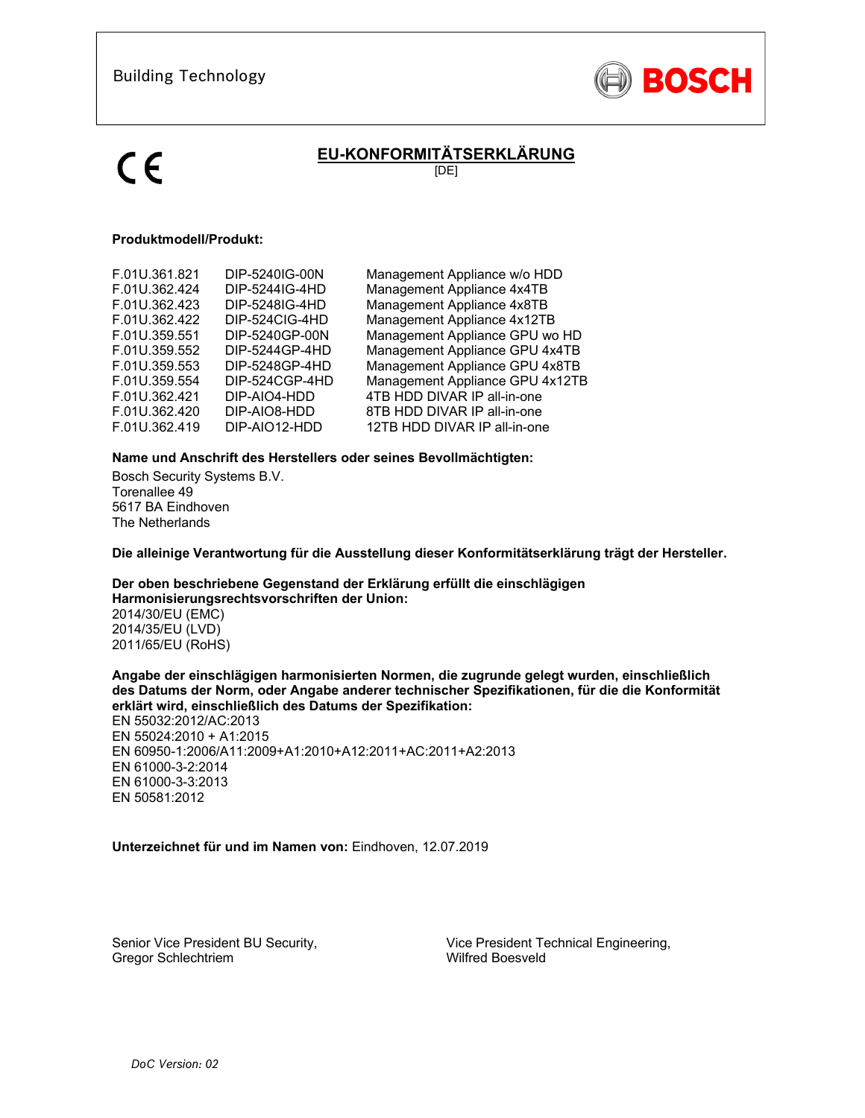

# **EU-KONFORMITÄTSERKLÄRUNG**

[DE]

## **Produktmodell/Produkt:**

| F.01U.361.821 | DIP-5240IG-00N | Management Appliance w/o HDD    |
|---------------|----------------|---------------------------------|
|               |                |                                 |
| F.01U.362.424 | DIP-5244IG-4HD | Management Appliance 4x4TB      |
| F.01U.362.423 | DIP-5248IG-4HD | Management Appliance 4x8TB      |
| F.01U.362.422 | DIP-524CIG-4HD | Management Appliance 4x12TB     |
| F.01U.359.551 | DIP-5240GP-00N | Management Appliance GPU wo HD  |
| F.01U.359.552 | DIP-5244GP-4HD | Management Appliance GPU 4x4TB  |
| F.01U.359.553 | DIP-5248GP-4HD | Management Appliance GPU 4x8TB  |
| F.01U.359.554 | DIP-524CGP-4HD | Management Appliance GPU 4x12TB |
| F.01U.362.421 | DIP-AIO4-HDD   | 4TB HDD DIVAR IP all-in-one     |
| F.01U.362.420 | DIP-AIO8-HDD   | 8TB HDD DIVAR IP all-in-one     |
| F.01U.362.419 | DIP-AIO12-HDD  | 12TB HDD DIVAR IP all-in-one    |
|               |                |                                 |

### **Name und Anschrift des Herstellers oder seines Bevollmächtigten:**

Bosch Security Systems B.V. Torenallee 49 5617 BA Eindhoven The Netherlands

**Die alleinige Verantwortung für die Ausstellung dieser Konformitätserklärung trägt der Hersteller.** 

**Der oben beschriebene Gegenstand der Erklärung erfüllt die einschlägigen Harmonisierungsrechtsvorschriften der Union:** 2014/30/EU (EMC) 2014/35/EU (LVD) 2011/65/EU (RoHS)

**Angabe der einschlägigen harmonisierten Normen, die zugrunde gelegt wurden, einschließlich des Datums der Norm, oder Angabe anderer technischer Spezifikationen, für die die Konformität erklärt wird, einschließlich des Datums der Spezifikation:** 

EN 55032:2012/AC:2013 EN 55024:2010 + A1:2015 EN 60950-1:2006/A11:2009+A1:2010+A12:2011+AC:2011+A2:2013 EN 61000-3-2:2014 EN 61000-3-3:2013 EN 50581:2012

### **Unterzeichnet für und im Namen von:** Eindhoven, 12.07.2019

Senior Vice President BU Security, Gregor Schlechtriem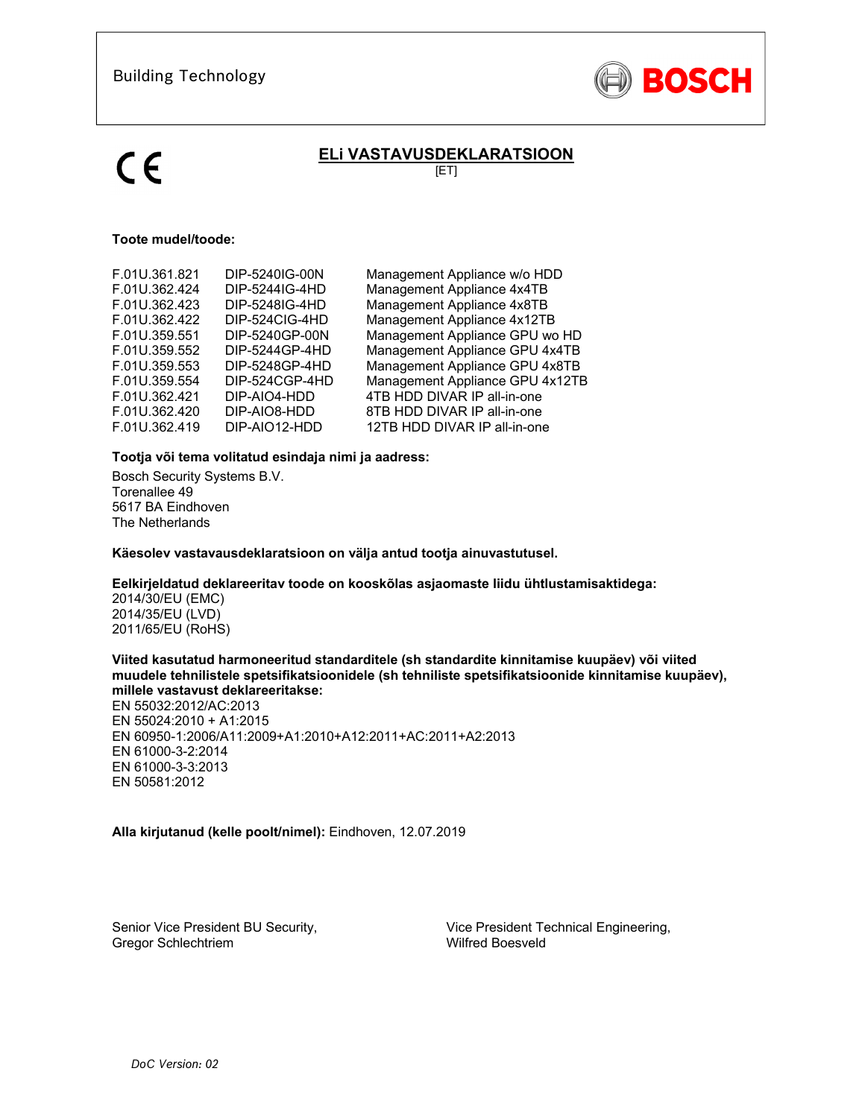

# **ELi VASTAVUSDEKLARATSIOON**

[ET]

### **Toote mudel/toode:**

| F.01U.361.821 | DIP-5240IG-00N | Management Appliance w/o HDD    |
|---------------|----------------|---------------------------------|
| F.01U.362.424 | DIP-5244IG-4HD | Management Appliance 4x4TB      |
| F.01U.362.423 | DIP-5248IG-4HD | Management Appliance 4x8TB      |
| F.01U.362.422 | DIP-524CIG-4HD | Management Appliance 4x12TB     |
| F.01U.359.551 | DIP-5240GP-00N | Management Appliance GPU wo HD  |
| F.01U.359.552 | DIP-5244GP-4HD | Management Appliance GPU 4x4TB  |
| F.01U.359.553 | DIP-5248GP-4HD | Management Appliance GPU 4x8TB  |
| F.01U.359.554 | DIP-524CGP-4HD | Management Appliance GPU 4x12TB |
| F.01U.362.421 | DIP-AIO4-HDD   | 4TB HDD DIVAR IP all-in-one     |
| F.01U.362.420 | DIP-AIO8-HDD   | 8TB HDD DIVAR IP all-in-one     |
| F.01U.362.419 | DIP-AIO12-HDD  | 12TB HDD DIVAR IP all-in-one    |
|               |                |                                 |

## **Tootja või tema volitatud esindaja nimi ja aadress:**

Bosch Security Systems B.V. Torenallee 49 5617 BA Eindhoven The Netherlands

**Käesolev vastavausdeklaratsioon on välja antud tootja ainuvastutusel.** 

### **Eelkirjeldatud deklareeritav toode on kooskõlas asjaomaste liidu ühtlustamisaktidega:**

2014/30/EU (EMC) 2014/35/EU (LVD) 2011/65/EU (RoHS)

### **Viited kasutatud harmoneeritud standarditele (sh standardite kinnitamise kuupäev) või viited muudele tehnilistele spetsifikatsioonidele (sh tehniliste spetsifikatsioonide kinnitamise kuupäev), millele vastavust deklareeritakse:**

EN 55032:2012/AC:2013 EN 55024:2010 + A1:2015 EN 60950-1:2006/A11:2009+A1:2010+A12:2011+AC:2011+A2:2013 EN 61000-3-2:2014 EN 61000-3-3:2013 EN 50581:2012

## **Alla kirjutanud (kelle poolt/nimel):** Eindhoven, 12.07.2019

Senior Vice President BU Security, Gregor Schlechtriem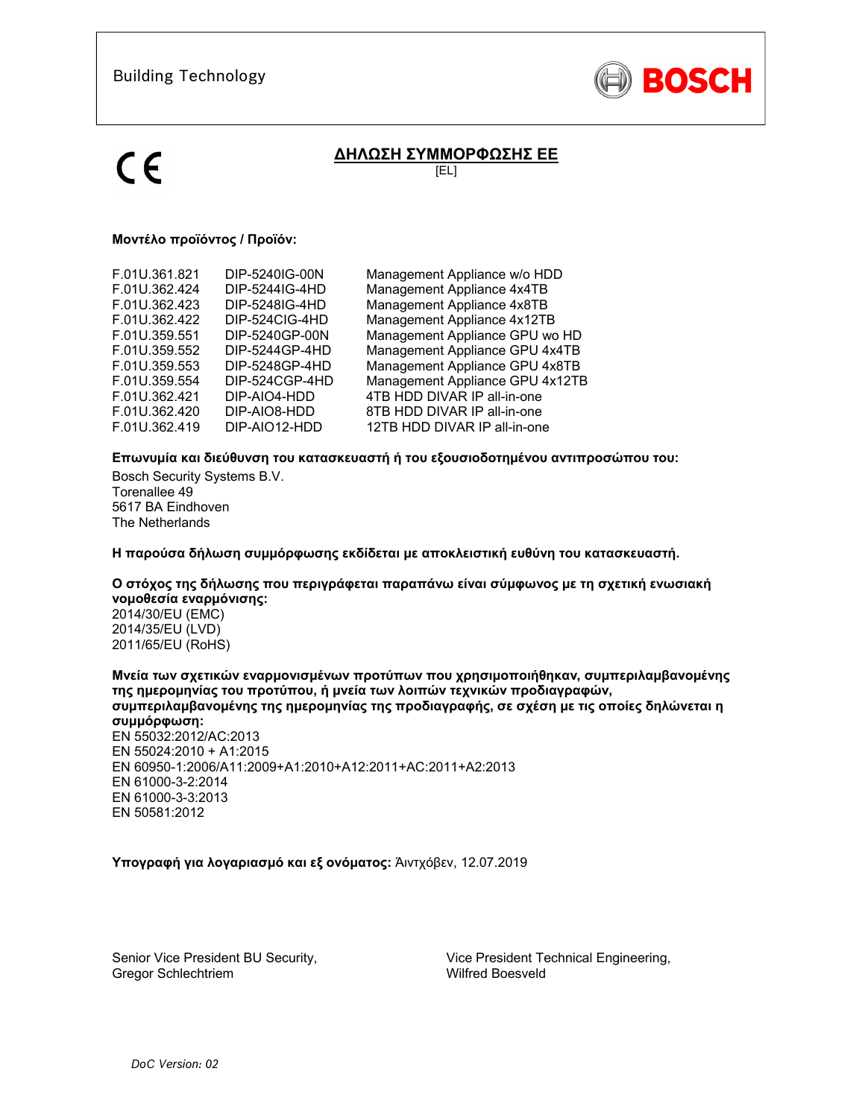

# **ΔΗΛΩΣΗ ΣΥΜΜΟΡΦΩΣΗΣ ΕΕ**

[EL]

# **Μοντέλο προϊόντος / Προϊόν:**

| F.01U.361.821<br>F.01U.362.424<br>F.01U.362.423<br>F.01U.362.422<br>F.01U.359.551<br>F.01U.359.552<br>F.01U.359.553 | DIP-5240IG-00N<br>DIP-5244IG-4HD<br>DIP-5248IG-4HD<br>DIP-524CIG-4HD<br>DIP-5240GP-00N<br>DIP-5244GP-4HD<br>DIP-5248GP-4HD | Management Appliance w/o HDD<br>Management Appliance 4x4TB<br>Management Appliance 4x8TB<br>Management Appliance 4x12TB<br>Management Appliance GPU wo HD<br>Management Appliance GPU 4x4TB<br>Management Appliance GPU 4x8TB |
|---------------------------------------------------------------------------------------------------------------------|----------------------------------------------------------------------------------------------------------------------------|-------------------------------------------------------------------------------------------------------------------------------------------------------------------------------------------------------------------------------|
|                                                                                                                     |                                                                                                                            |                                                                                                                                                                                                                               |
|                                                                                                                     |                                                                                                                            |                                                                                                                                                                                                                               |
|                                                                                                                     |                                                                                                                            |                                                                                                                                                                                                                               |
|                                                                                                                     |                                                                                                                            |                                                                                                                                                                                                                               |
| F.01U.359.554                                                                                                       | DIP-524CGP-4HD                                                                                                             | Management Appliance GPU 4x12TB                                                                                                                                                                                               |
| F.01U.362.421                                                                                                       | DIP-AIO4-HDD                                                                                                               | 4TB HDD DIVAR IP all-in-one                                                                                                                                                                                                   |
| F.01U.362.420                                                                                                       | DIP-AIO8-HDD                                                                                                               | 8TB HDD DIVAR IP all-in-one                                                                                                                                                                                                   |
| F.01U.362.419                                                                                                       | DIP-AIO12-HDD                                                                                                              | 12TB HDD DIVAR IP all-in-one                                                                                                                                                                                                  |
|                                                                                                                     |                                                                                                                            |                                                                                                                                                                                                                               |

## **Επωνυμία και διεύθυνση του κατασκευαστή ή του εξουσιοδοτημένου αντιπροσώπου του:**

Bosch Security Systems B.V. Torenallee 49 5617 BA Eindhoven The Netherlands

**Η παρούσα δήλωση συμμόρφωσης εκδίδεται με αποκλειστική ευθύνη του κατασκευαστή.** 

# **Ο στόχος της δήλωσης που περιγράφεται παραπάνω είναι σύμφωνος με τη σχετική ενωσιακή νομοθεσία εναρμόνισης:**

2014/30/EU (EMC) 2014/35/EU (LVD) 2011/65/EU (RoHS)

**Μνεία των σχετικών εναρμονισμένων προτύπων που χρησιμοποιήθηκαν, συμπεριλαμβανομένης της ημερομηνίας του προτύπου, ή μνεία των λοιπών τεχνικών προδιαγραφών, συμπεριλαμβανομένης της ημερομηνίας της προδιαγραφής, σε σχέση με τις οποίες δηλώνεται η συμμόρφωση:**  EN 55032:2012/AC:2013 EN 55024:2010 + A1:2015 EN 60950-1:2006/A11:2009+A1:2010+A12:2011+AC:2011+A2:2013 EN 61000-3-2:2014 EN 61000-3-3:2013 EN 50581:2012

## **Υπογραφή για λογαριασμό και εξ ονόματος:** Άιντχόβεν, 12.07.2019

Senior Vice President BU Security, Gregor Schlechtriem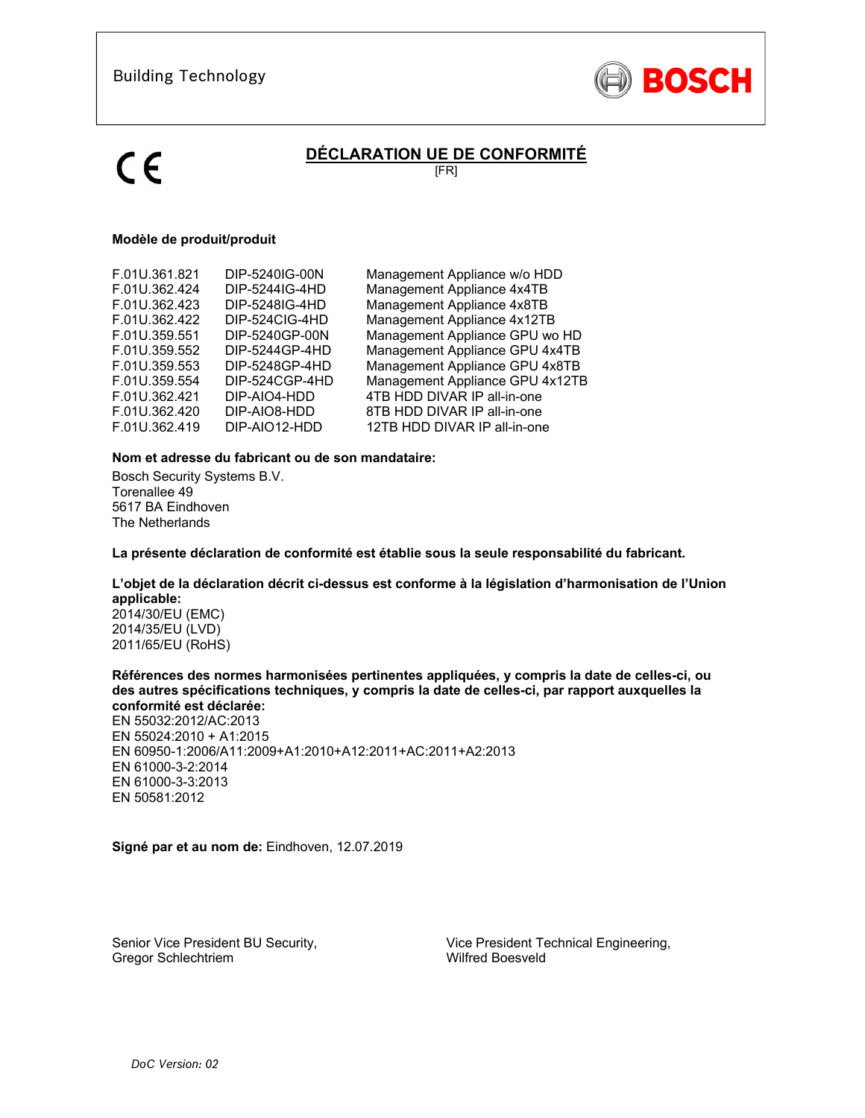

# **DÉCLARATION UE DE CONFORMITÉ**

[FR]

## **Modèle de produit/produit**

| F.01U.361.821 | DIP-5240IG-00N | Management Appliance w/o HDD    |
|---------------|----------------|---------------------------------|
| F.01U.362.424 | DIP-5244IG-4HD | Management Appliance 4x4TB      |
| F.01U.362.423 | DIP-5248IG-4HD | Management Appliance 4x8TB      |
| F.01U.362.422 | DIP-524CIG-4HD | Management Appliance 4x12TB     |
| F.01U.359.551 | DIP-5240GP-00N | Management Appliance GPU wo HD  |
| F.01U.359.552 | DIP-5244GP-4HD | Management Appliance GPU 4x4TB  |
| F.01U.359.553 | DIP-5248GP-4HD | Management Appliance GPU 4x8TB  |
| F.01U.359.554 | DIP-524CGP-4HD | Management Appliance GPU 4x12TB |
| F.01U.362.421 | DIP-AIO4-HDD   | 4TB HDD DIVAR IP all-in-one     |
| F.01U.362.420 | DIP-AIO8-HDD   | 8TB HDD DIVAR IP all-in-one     |
| F.01U.362.419 | DIP-AIO12-HDD  | 12TB HDD DIVAR IP all-in-one    |
|               |                |                                 |

### **Nom et adresse du fabricant ou de son mandataire:**

Bosch Security Systems B.V. Torenallee 49 5617 BA Eindhoven The Netherlands

**La présente déclaration de conformité est établie sous la seule responsabilité du fabricant.** 

### **L'objet de la déclaration décrit ci-dessus est conforme à la législation d'harmonisation de l'Union applicable:**

2014/30/EU (EMC) 2014/35/EU (LVD) 2011/65/EU (RoHS)

### **Références des normes harmonisées pertinentes appliquées, y compris la date de celles-ci, ou des autres spécifications techniques, y compris la date de celles-ci, par rapport auxquelles la conformité est déclarée:**

EN 55032:2012/AC:2013 EN 55024:2010 + A1:2015 EN 60950-1:2006/A11:2009+A1:2010+A12:2011+AC:2011+A2:2013 EN 61000-3-2:2014 EN 61000-3-3:2013 EN 50581:2012

**Signé par et au nom de:** Eindhoven, 12.07.2019

Senior Vice President BU Security, Gregor Schlechtriem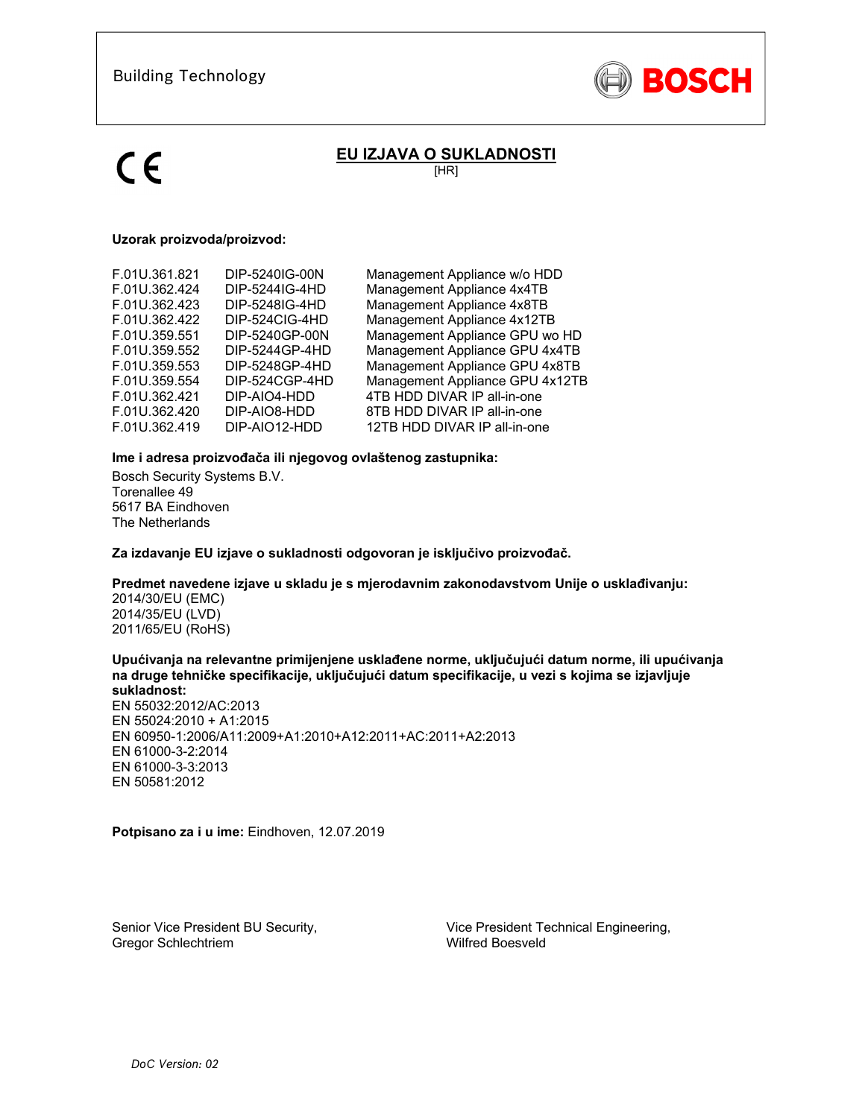

# **EU IZJAVA O SUKLADNOSTI**

[HR]

### **Uzorak proizvoda/proizvod:**

| F.01U.361.821 | DIP-5240IG-00N | Management Appliance w/o HDD    |
|---------------|----------------|---------------------------------|
| F.01U.362.424 | DIP-5244IG-4HD | Management Appliance 4x4TB      |
| F.01U.362.423 | DIP-5248IG-4HD | Management Appliance 4x8TB      |
| F.01U.362.422 | DIP-524CIG-4HD | Management Appliance 4x12TB     |
| F.01U.359.551 | DIP-5240GP-00N | Management Appliance GPU wo HD  |
| F.01U.359.552 | DIP-5244GP-4HD | Management Appliance GPU 4x4TB  |
| F.01U.359.553 | DIP-5248GP-4HD | Management Appliance GPU 4x8TB  |
| F.01U.359.554 | DIP-524CGP-4HD | Management Appliance GPU 4x12TB |
| F.01U.362.421 | DIP-AIO4-HDD   | 4TB HDD DIVAR IP all-in-one     |
| F.01U.362.420 | DIP-AIO8-HDD   | 8TB HDD DIVAR IP all-in-one     |
| F.01U.362.419 | DIP-AIO12-HDD  | 12TB HDD DIVAR IP all-in-one    |
|               |                |                                 |

### **Ime i adresa proizvođača ili njegovog ovlaštenog zastupnika:**

Bosch Security Systems B.V. Torenallee 49 5617 BA Eindhoven The Netherlands

**Za izdavanje EU izjave o sukladnosti odgovoran je isključivo proizvođač.** 

### **Predmet navedene izjave u skladu je s mjerodavnim zakonodavstvom Unije o usklađivanju:**

2014/30/EU (EMC) 2014/35/EU (LVD) 2011/65/EU (RoHS)

#### **Upućivanja na relevantne primijenjene usklađene norme, uključujući datum norme, ili upućivanja na druge tehničke specifikacije, uključujući datum specifikacije, u vezi s kojima se izjavljuje sukladnost:**

EN 55032:2012/AC:2013 EN 55024:2010 + A1:2015 EN 60950-1:2006/A11:2009+A1:2010+A12:2011+AC:2011+A2:2013 EN 61000-3-2:2014 EN 61000-3-3:2013 EN 50581:2012

**Potpisano za i u ime:** Eindhoven, 12.07.2019

Senior Vice President BU Security, Gregor Schlechtriem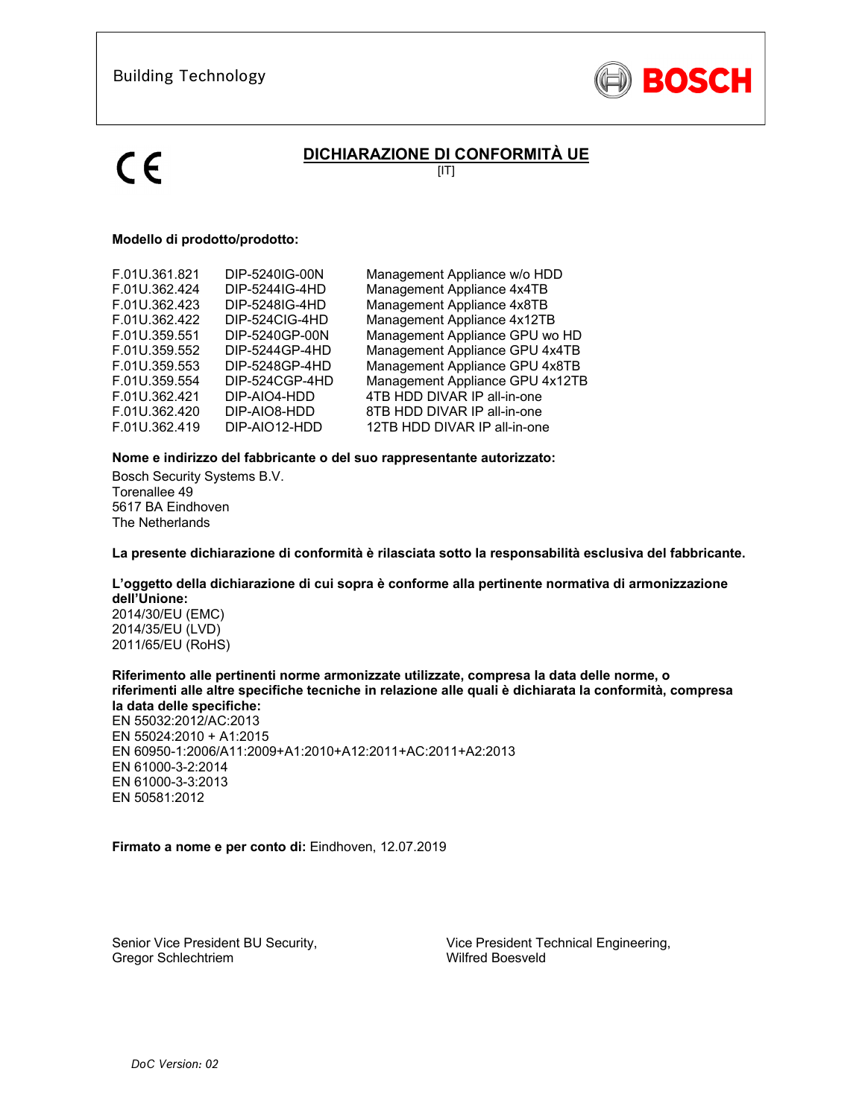

# **DICHIARAZIONE DI CONFORMITÀ UE**

 $\overline{[IT]}$ 

## **Modello di prodotto/prodotto:**

| F.01U.361.821 | DIP-5240IG-00N | Management Appliance w/o HDD    |
|---------------|----------------|---------------------------------|
| F.01U.362.424 | DIP-5244IG-4HD | Management Appliance 4x4TB      |
| F.01U.362.423 | DIP-5248IG-4HD | Management Appliance 4x8TB      |
| F.01U.362.422 | DIP-524CIG-4HD | Management Appliance 4x12TB     |
| F.01U.359.551 | DIP-5240GP-00N | Management Appliance GPU wo HD  |
| F.01U.359.552 | DIP-5244GP-4HD | Management Appliance GPU 4x4TB  |
| F.01U.359.553 | DIP-5248GP-4HD | Management Appliance GPU 4x8TB  |
| F.01U.359.554 | DIP-524CGP-4HD | Management Appliance GPU 4x12TB |
| F.01U.362.421 | DIP-AIO4-HDD   | 4TB HDD DIVAR IP all-in-one     |
| F.01U.362.420 | DIP-AIO8-HDD   | 8TB HDD DIVAR IP all-in-one     |
| F.01U.362.419 | DIP-AIO12-HDD  | 12TB HDD DIVAR IP all-in-one    |

## **Nome e indirizzo del fabbricante o del suo rappresentante autorizzato:**

Bosch Security Systems B.V. Torenallee 49 5617 BA Eindhoven The Netherlands

**La presente dichiarazione di conformità è rilasciata sotto la responsabilità esclusiva del fabbricante.** 

### **L'oggetto della dichiarazione di cui sopra è conforme alla pertinente normativa di armonizzazione dell'Unione:**

2014/30/EU (EMC) 2014/35/EU (LVD) 2011/65/EU (RoHS)

### **Riferimento alle pertinenti norme armonizzate utilizzate, compresa la data delle norme, o riferimenti alle altre specifiche tecniche in relazione alle quali è dichiarata la conformità, compresa la data delle specifiche:**

EN 55032:2012/AC:2013 EN 55024:2010 + A1:2015 EN 60950-1:2006/A11:2009+A1:2010+A12:2011+AC:2011+A2:2013 EN 61000-3-2:2014 EN 61000-3-3:2013 EN 50581:2012

**Firmato a nome e per conto di:** Eindhoven, 12.07.2019

Senior Vice President BU Security, Gregor Schlechtriem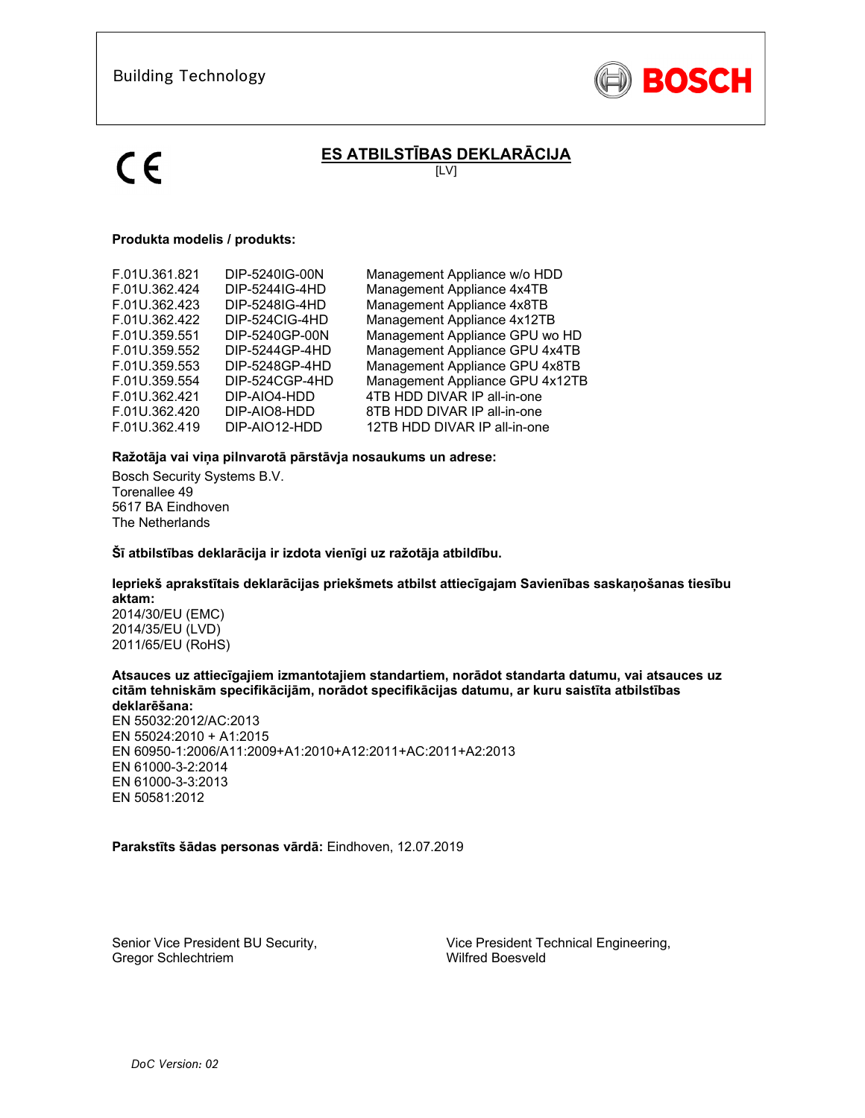

# **ES ATBILSTĪBAS DEKLARĀCIJA**

[LV]

## **Produkta modelis / produkts:**

| F.01U.361.821<br>F.01U.362.424<br>F.01U.362.423<br>F.01U.362.422<br>F.01U.359.551<br>F.01U.359.552<br>F.01U.359.553 | DIP-5240IG-00N<br>DIP-5244IG-4HD<br>DIP-5248IG-4HD<br>DIP-524CIG-4HD<br>DIP-5240GP-00N<br>DIP-5244GP-4HD<br>DIP-5248GP-4HD | Management Appliance w/o HDD<br>Management Appliance 4x4TB<br>Management Appliance 4x8TB<br>Management Appliance 4x12TB<br>Management Appliance GPU wo HD<br>Management Appliance GPU 4x4TB<br>Management Appliance GPU 4x8TB |
|---------------------------------------------------------------------------------------------------------------------|----------------------------------------------------------------------------------------------------------------------------|-------------------------------------------------------------------------------------------------------------------------------------------------------------------------------------------------------------------------------|
|                                                                                                                     |                                                                                                                            |                                                                                                                                                                                                                               |
|                                                                                                                     |                                                                                                                            |                                                                                                                                                                                                                               |
|                                                                                                                     |                                                                                                                            |                                                                                                                                                                                                                               |
|                                                                                                                     |                                                                                                                            |                                                                                                                                                                                                                               |
| F.01U.359.554                                                                                                       | DIP-524CGP-4HD                                                                                                             | Management Appliance GPU 4x12TB                                                                                                                                                                                               |
| F.01U.362.421                                                                                                       | DIP-AIO4-HDD                                                                                                               | 4TB HDD DIVAR IP all-in-one                                                                                                                                                                                                   |
| F.01U.362.420                                                                                                       | DIP-AIO8-HDD                                                                                                               | 8TB HDD DIVAR IP all-in-one                                                                                                                                                                                                   |
| F.01U.362.419                                                                                                       | DIP-AIO12-HDD                                                                                                              | 12TB HDD DIVAR IP all-in-one                                                                                                                                                                                                  |
|                                                                                                                     |                                                                                                                            |                                                                                                                                                                                                                               |

### **Ražotāja vai viņa pilnvarotā pārstāvja nosaukums un adrese:**

Bosch Security Systems B.V. Torenallee 49 5617 BA Eindhoven The Netherlands

**Šī atbilstības deklarācija ir izdota vienīgi uz ražotāja atbildību.** 

### **Iepriekš aprakstītais deklarācijas priekšmets atbilst attiecīgajam Savienības saskaņošanas tiesību aktam:**

2014/30/EU (EMC) 2014/35/EU (LVD) 2011/65/EU (RoHS)

#### **Atsauces uz attiecīgajiem izmantotajiem standartiem, norādot standarta datumu, vai atsauces uz citām tehniskām specifikācijām, norādot specifikācijas datumu, ar kuru saistīta atbilstības deklarēšana:**

EN 55032:2012/AC:2013 EN 55024:2010 + A1:2015 EN 60950-1:2006/A11:2009+A1:2010+A12:2011+AC:2011+A2:2013 EN 61000-3-2:2014 EN 61000-3-3:2013 EN 50581:2012

**Parakstīts šādas personas vārdā:** Eindhoven, 12.07.2019

Senior Vice President BU Security, Gregor Schlechtriem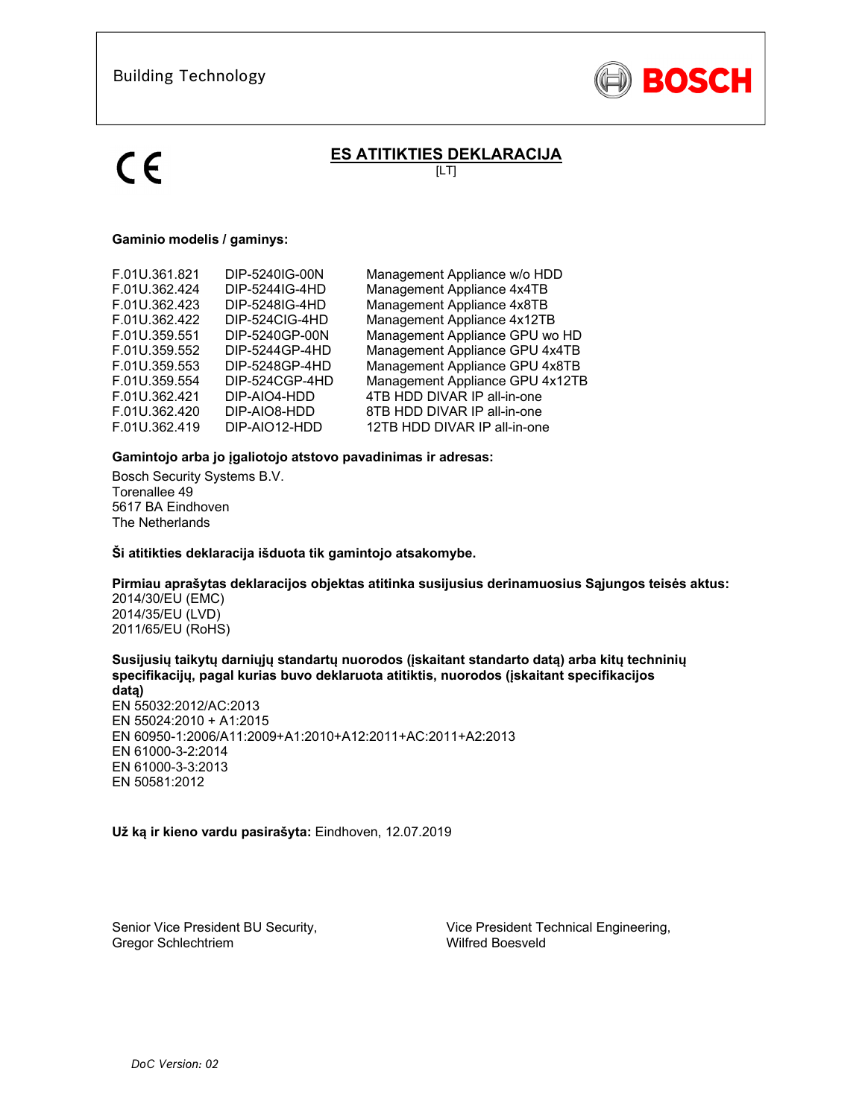

# **ES ATITIKTIES DEKLARACIJA**

 $[LT]$ 

## **Gaminio modelis / gaminys:**

| DIP-5240IG-00N                   | Management Appliance w/o HDD<br>Management Appliance 4x4TB       |
|----------------------------------|------------------------------------------------------------------|
| DIP-5248IG-4HD                   | Management Appliance 4x8TB                                       |
| DIP-5240GP-00N                   | Management Appliance 4x12TB<br>Management Appliance GPU wo HD    |
| DIP-5244GP-4HD<br>DIP-5248GP-4HD | Management Appliance GPU 4x4TB<br>Management Appliance GPU 4x8TB |
| DIP-524CGP-4HD                   | Management Appliance GPU 4x12TB<br>4TB HDD DIVAR IP all-in-one   |
| DIP-AIO8-HDD<br>DIP-AIO12-HDD    | 8TB HDD DIVAR IP all-in-one<br>12TB HDD DIVAR IP all-in-one      |
|                                  | DIP-5244IG-4HD<br>DIP-524CIG-4HD<br>DIP-AIO4-HDD                 |

### **Gamintojo arba jo įgaliotojo atstovo pavadinimas ir adresas:**

Bosch Security Systems B.V. Torenallee 49 5617 BA Eindhoven The Netherlands

**Ši atitikties deklaracija išduota tik gamintojo atsakomybe.** 

## **Pirmiau aprašytas deklaracijos objektas atitinka susijusius derinamuosius Sąjungos teisės aktus:**

2014/30/EU (EMC) 2014/35/EU (LVD) 2011/65/EU (RoHS)

**Susijusių taikytų darniųjų standartų nuorodos (įskaitant standarto datą) arba kitų techninių specifikacijų, pagal kurias buvo deklaruota atitiktis, nuorodos (įskaitant specifikacijos** 

**datą)**  EN 55032:2012/AC:2013 EN 55024:2010 + A1:2015 EN 60950-1:2006/A11:2009+A1:2010+A12:2011+AC:2011+A2:2013 EN 61000-3-2:2014 EN 61000-3-3:2013 EN 50581:2012

**Už ką ir kieno vardu pasirašyta:** Eindhoven, 12.07.2019

Senior Vice President BU Security, Gregor Schlechtriem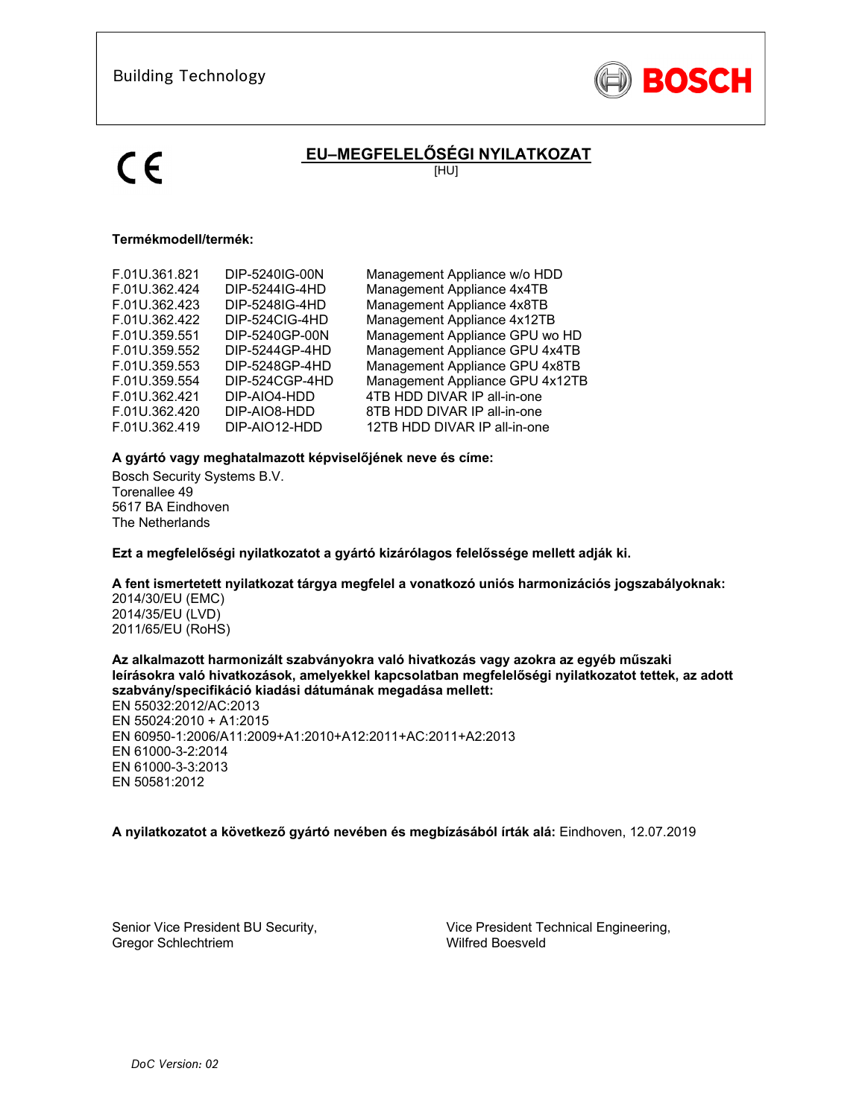

# **EU–MEGFELELŐSÉGI NYILATKOZAT**

[HU]

## **Termékmodell/termék:**

| F.01U.361.821 | DIP-5240IG-00N | Management Appliance w/o HDD    |
|---------------|----------------|---------------------------------|
|               |                |                                 |
| F.01U.362.424 | DIP-5244IG-4HD | Management Appliance 4x4TB      |
| F.01U.362.423 | DIP-5248IG-4HD | Management Appliance 4x8TB      |
| F.01U.362.422 | DIP-524CIG-4HD | Management Appliance 4x12TB     |
| F.01U.359.551 | DIP-5240GP-00N | Management Appliance GPU wo HD  |
| F.01U.359.552 | DIP-5244GP-4HD | Management Appliance GPU 4x4TB  |
| F.01U.359.553 | DIP-5248GP-4HD | Management Appliance GPU 4x8TB  |
| F.01U.359.554 | DIP-524CGP-4HD | Management Appliance GPU 4x12TB |
| F.01U.362.421 | DIP-AIO4-HDD   | 4TB HDD DIVAR IP all-in-one     |
| F.01U.362.420 | DIP-AIO8-HDD   | 8TB HDD DIVAR IP all-in-one     |
| F.01U.362.419 | DIP-AIO12-HDD  | 12TB HDD DIVAR IP all-in-one    |
|               |                |                                 |

### **A gyártó vagy meghatalmazott képviselőjének neve és címe:**

Bosch Security Systems B.V. Torenallee 49 5617 BA Eindhoven The Netherlands

**Ezt a megfelelőségi nyilatkozatot a gyártó kizárólagos felelőssége mellett adják ki.** 

### **A fent ismertetett nyilatkozat tárgya megfelel a vonatkozó uniós harmonizációs jogszabályoknak:**

2014/30/EU (EMC) 2014/35/EU (LVD) 2011/65/EU (RoHS)

### **Az alkalmazott harmonizált szabványokra való hivatkozás vagy azokra az egyéb műszaki leírásokra való hivatkozások, amelyekkel kapcsolatban megfelelőségi nyilatkozatot tettek, az adott szabvány/specifikáció kiadási dátumának megadása mellett:**

EN 55032:2012/AC:2013 EN 55024:2010 + A1:2015 EN 60950-1:2006/A11:2009+A1:2010+A12:2011+AC:2011+A2:2013 EN 61000-3-2:2014 EN 61000-3-3:2013 EN 50581:2012

## **A nyilatkozatot a következő gyártó nevében és megbízásából írták alá:** Eindhoven, 12.07.2019

Senior Vice President BU Security, Gregor Schlechtriem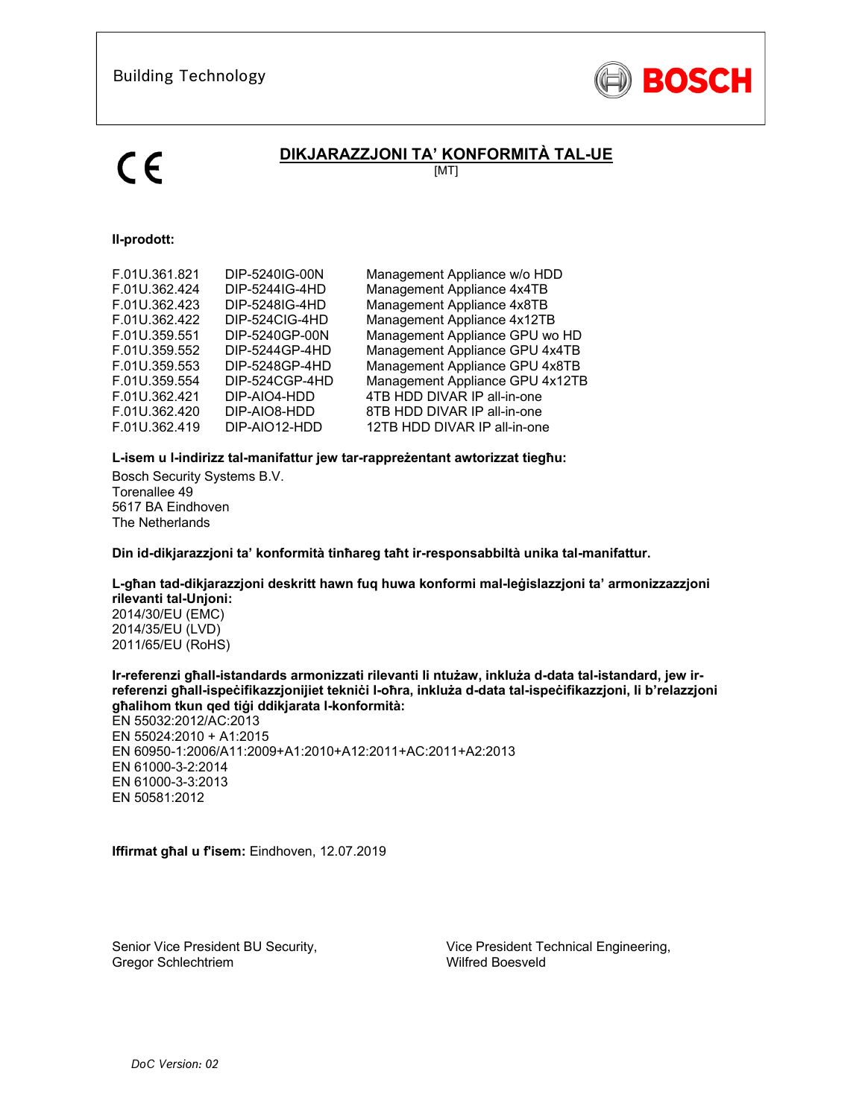

# **DIKJARAZZJONI TA' KONFORMITÀ TAL-UE**

[MT]

## **Il-prodott:**

| F.01U.362.422<br>DIP-524CIG-4HD                                                                                                                                                                                                                                                                                                                                                                                                                                                                                    | Management Appliance w/o HDD<br>Management Appliance 4x4TB<br>Management Appliance 4x8TB |
|--------------------------------------------------------------------------------------------------------------------------------------------------------------------------------------------------------------------------------------------------------------------------------------------------------------------------------------------------------------------------------------------------------------------------------------------------------------------------------------------------------------------|------------------------------------------------------------------------------------------|
| Management Appliance 4x12TB<br>Management Appliance GPU wo HD<br>F.01U.359.551<br>DIP-5240GP-00N<br>F.01U.359.552<br>DIP-5244GP-4HD<br>Management Appliance GPU 4x4TB<br>Management Appliance GPU 4x8TB<br>F.01U.359.553<br>DIP-5248GP-4HD<br>Management Appliance GPU 4x12TB<br>F.01U.359.554<br>DIP-524CGP-4HD<br>F.01U.362.421<br>DIP-AIO4-HDD<br>4TB HDD DIVAR IP all-in-one<br>F.01U.362.420<br>DIP-AIO8-HDD<br>8TB HDD DIVAR IP all-in-one<br>DIP-AIO12-HDD<br>F.01U.362.419<br>12TB HDD DIVAR IP all-in-one |                                                                                          |

## **L-isem u l-indirizz tal-manifattur jew tar-rappreżentant awtorizzat tiegħu:**

Bosch Security Systems B.V. Torenallee 49 5617 BA Eindhoven The Netherlands

**Din id-dikjarazzjoni ta' konformità tinħareg taħt ir-responsabbiltà unika tal-manifattur.** 

### **L-għan tad-dikjarazzjoni deskritt hawn fuq huwa konformi mal-leġislazzjoni ta' armonizzazzjoni rilevanti tal-Unjoni:**

2014/30/EU (EMC) 2014/35/EU (LVD) 2011/65/EU (RoHS)

**Ir-referenzi għall-istandards armonizzati rilevanti li ntużaw, inkluża d-data tal-istandard, jew irreferenzi għall-ispeċifikazzjonijiet tekniċi l-oħra, inkluża d-data tal-ispeċifikazzjoni, li b'relazzjoni għalihom tkun qed tiġi ddikjarata l-konformità:** 

EN 55032:2012/AC:2013 EN 55024:2010 + A1:2015 EN 60950-1:2006/A11:2009+A1:2010+A12:2011+AC:2011+A2:2013 EN 61000-3-2:2014 EN 61000-3-3:2013 EN 50581:2012

**Iffirmat għal u f'isem:** Eindhoven, 12.07.2019

Senior Vice President BU Security, Gregor Schlechtriem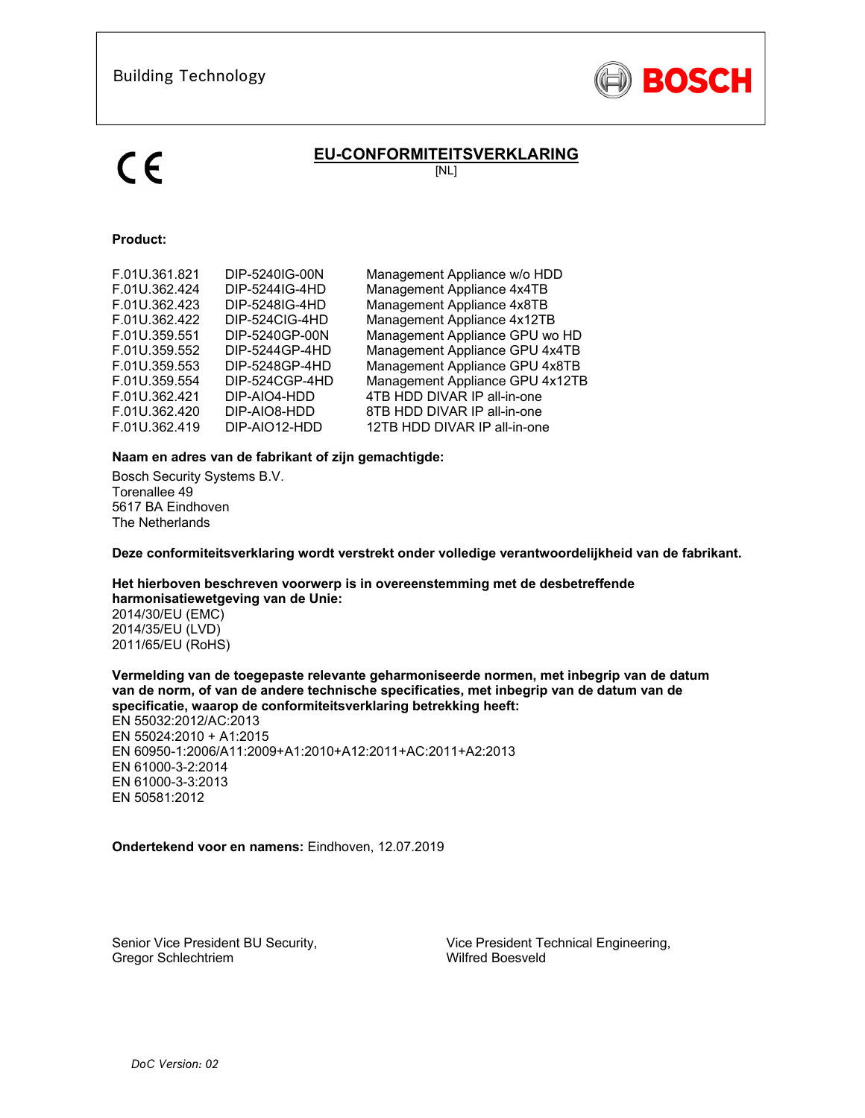

# **EU-CONFORMITEITSVERKLARING**

[NL]

# **Product:**

| F.01U.361.821 | DIP-5240IG-00N | Management Appliance w/o HDD    |
|---------------|----------------|---------------------------------|
| F.01U.362.424 | DIP-5244IG-4HD | Management Appliance 4x4TB      |
| F.01U.362.423 | DIP-5248IG-4HD | Management Appliance 4x8TB      |
| F.01U.362.422 | DIP-524CIG-4HD | Management Appliance 4x12TB     |
| F.01U.359.551 | DIP-5240GP-00N | Management Appliance GPU wo HD  |
| F.01U.359.552 | DIP-5244GP-4HD | Management Appliance GPU 4x4TB  |
| F.01U.359.553 | DIP-5248GP-4HD | Management Appliance GPU 4x8TB  |
| F.01U.359.554 | DIP-524CGP-4HD | Management Appliance GPU 4x12TB |
| F.01U.362.421 | DIP-AIO4-HDD   | 4TB HDD DIVAR IP all-in-one     |
| F.01U.362.420 | DIP-AIO8-HDD   | 8TB HDD DIVAR IP all-in-one     |
| F.01U.362.419 | DIP-AIO12-HDD  | 12TB HDD DIVAR IP all-in-one    |
|               |                |                                 |

## **Naam en adres van de fabrikant of zijn gemachtigde:**

Bosch Security Systems B.V. Torenallee 49 5617 BA Eindhoven The Netherlands

**Deze conformiteitsverklaring wordt verstrekt onder volledige verantwoordelijkheid van de fabrikant.** 

**Het hierboven beschreven voorwerp is in overeenstemming met de desbetreffende harmonisatiewetgeving van de Unie:**

2014/30/EU (EMC) 2014/35/EU (LVD) 2011/65/EU (RoHS)

**Vermelding van de toegepaste relevante geharmoniseerde normen, met inbegrip van de datum van de norm, of van de andere technische specificaties, met inbegrip van de datum van de specificatie, waarop de conformiteitsverklaring betrekking heeft:** 

EN 55032:2012/AC:2013 EN 55024:2010 + A1:2015 EN 60950-1:2006/A11:2009+A1:2010+A12:2011+AC:2011+A2:2013 EN 61000-3-2:2014 EN 61000-3-3:2013 EN 50581:2012

**Ondertekend voor en namens:** Eindhoven, 12.07.2019

Senior Vice President BU Security, Gregor Schlechtriem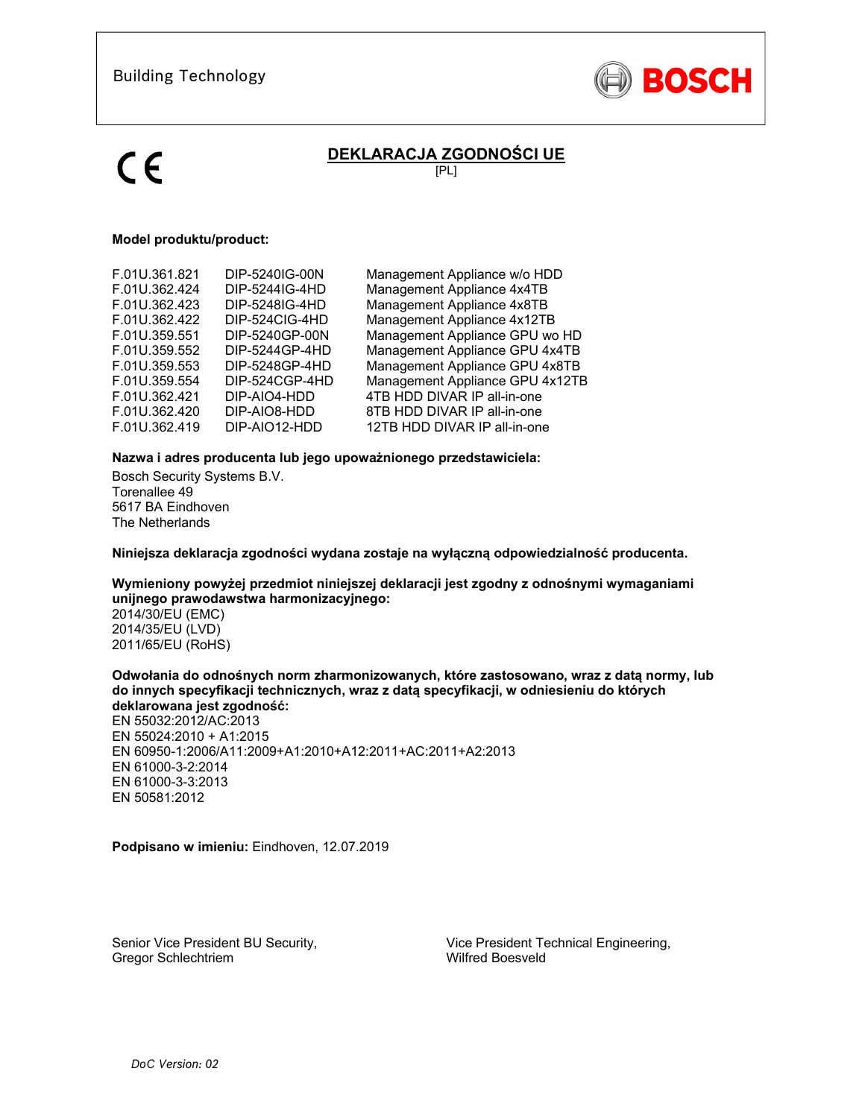

# **DEKLARACJA ZGODNOŚCI UE**

[PL]

### **Model produktu/product:**

| F.01U.361.821<br>F.01U.362.424<br>F.01U.362.423<br>F.01U.362.422<br>F.01U.359.551<br>F.01U.359.552<br>F.01U.359.553 | DIP-5240IG-00N<br>DIP-5244IG-4HD<br>DIP-5248IG-4HD<br>DIP-524CIG-4HD<br>DIP-5240GP-00N<br>DIP-5244GP-4HD<br>DIP-5248GP-4HD | Management Appliance w/o HDD<br>Management Appliance 4x4TB<br>Management Appliance 4x8TB<br>Management Appliance 4x12TB<br>Management Appliance GPU wo HD<br>Management Appliance GPU 4x4TB<br>Management Appliance GPU 4x8TB |
|---------------------------------------------------------------------------------------------------------------------|----------------------------------------------------------------------------------------------------------------------------|-------------------------------------------------------------------------------------------------------------------------------------------------------------------------------------------------------------------------------|
|                                                                                                                     |                                                                                                                            |                                                                                                                                                                                                                               |
|                                                                                                                     |                                                                                                                            |                                                                                                                                                                                                                               |
|                                                                                                                     |                                                                                                                            |                                                                                                                                                                                                                               |
|                                                                                                                     |                                                                                                                            |                                                                                                                                                                                                                               |
| F.01U.359.554                                                                                                       | DIP-524CGP-4HD                                                                                                             | Management Appliance GPU 4x12TB                                                                                                                                                                                               |
| F.01U.362.421                                                                                                       | DIP-AIO4-HDD                                                                                                               | 4TB HDD DIVAR IP all-in-one                                                                                                                                                                                                   |
| F.01U.362.420                                                                                                       | DIP-AIO8-HDD                                                                                                               | 8TB HDD DIVAR IP all-in-one                                                                                                                                                                                                   |
| F.01U.362.419                                                                                                       | DIP-AIO12-HDD                                                                                                              | 12TB HDD DIVAR IP all-in-one                                                                                                                                                                                                  |
|                                                                                                                     |                                                                                                                            |                                                                                                                                                                                                                               |

### **Nazwa i adres producenta lub jego upoważnionego przedstawiciela:**

Bosch Security Systems B.V. Torenallee 49 5617 BA Eindhoven The Netherlands

**Niniejsza deklaracja zgodności wydana zostaje na wyłączną odpowiedzialność producenta.** 

**Wymieniony powyżej przedmiot niniejszej deklaracji jest zgodny z odnośnymi wymaganiami unijnego prawodawstwa harmonizacyjnego:**

2014/30/EU (EMC) 2014/35/EU (LVD) 2011/65/EU (RoHS)

### **Odwołania do odnośnych norm zharmonizowanych, które zastosowano, wraz z datą normy, lub do innych specyfikacji technicznych, wraz z datą specyfikacji, w odniesieniu do których deklarowana jest zgodność:**

EN 55032:2012/AC:2013 EN 55024:2010 + A1:2015 EN 60950-1:2006/A11:2009+A1:2010+A12:2011+AC:2011+A2:2013 EN 61000-3-2:2014 EN 61000-3-3:2013 EN 50581:2012

**Podpisano w imieniu:** Eindhoven, 12.07.2019

Senior Vice President BU Security, Gregor Schlechtriem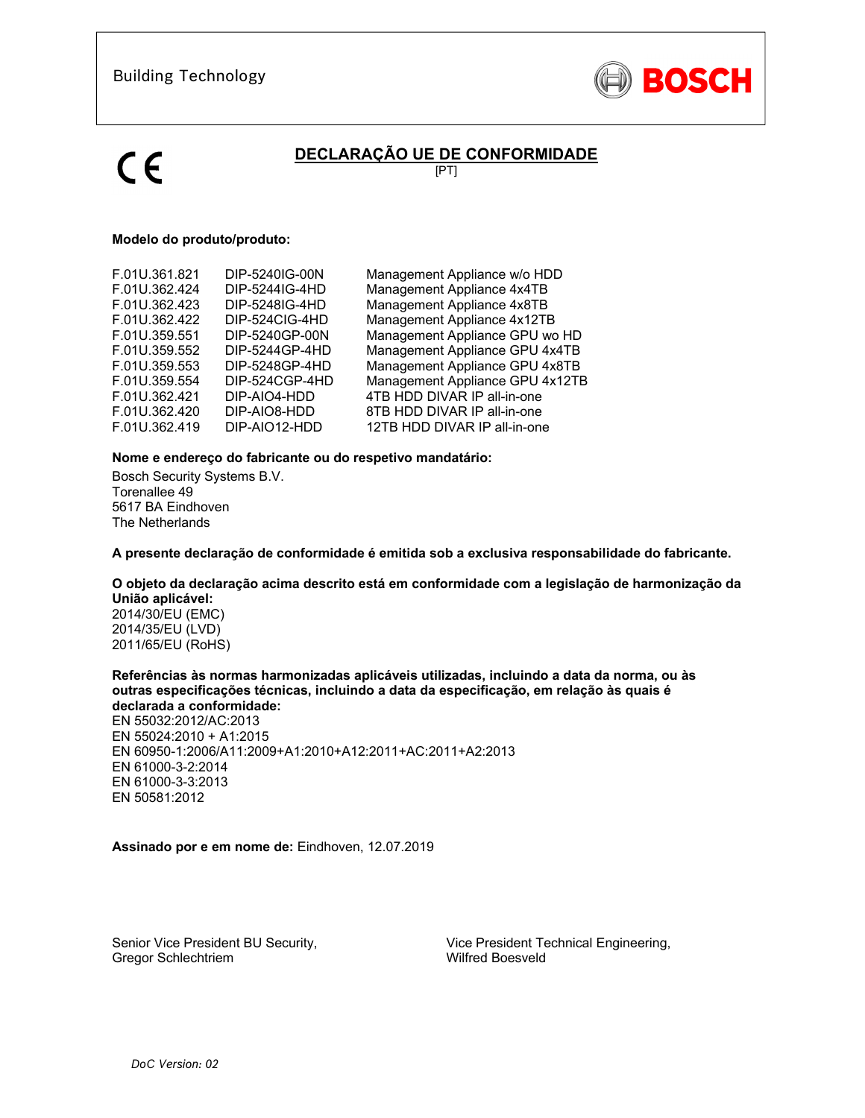

# **DECLARAÇÃO UE DE CONFORMIDADE**

[PT]

## **Modelo do produto/produto:**

| F.01U.361.821 | DIP-5240IG-00N | Management Appliance w/o HDD    |
|---------------|----------------|---------------------------------|
| F.01U.362.424 | DIP-5244IG-4HD | Management Appliance 4x4TB      |
| F.01U.362.423 | DIP-5248IG-4HD | Management Appliance 4x8TB      |
| F.01U.362.422 | DIP-524CIG-4HD | Management Appliance 4x12TB     |
| F.01U.359.551 | DIP-5240GP-00N | Management Appliance GPU wo HD  |
| F.01U.359.552 | DIP-5244GP-4HD | Management Appliance GPU 4x4TB  |
| F.01U.359.553 | DIP-5248GP-4HD | Management Appliance GPU 4x8TB  |
| F.01U.359.554 | DIP-524CGP-4HD | Management Appliance GPU 4x12TB |
| F.01U.362.421 | DIP-AIO4-HDD   | 4TB HDD DIVAR IP all-in-one     |
| F.01U.362.420 | DIP-AIO8-HDD   | 8TB HDD DIVAR IP all-in-one     |
| F.01U.362.419 | DIP-AIO12-HDD  | 12TB HDD DIVAR IP all-in-one    |
|               |                |                                 |

### **Nome e endereço do fabricante ou do respetivo mandatário:**

Bosch Security Systems B.V. Torenallee 49 5617 BA Eindhoven The Netherlands

**A presente declaração de conformidade é emitida sob a exclusiva responsabilidade do fabricante.** 

### **O objeto da declaração acima descrito está em conformidade com a legislação de harmonização da União aplicável:**

2014/30/EU (EMC) 2014/35/EU (LVD) 2011/65/EU (RoHS)

### **Referências às normas harmonizadas aplicáveis utilizadas, incluindo a data da norma, ou às outras especificações técnicas, incluindo a data da especificação, em relação às quais é declarada a conformidade:**

EN 55032:2012/AC:2013 EN 55024:2010 + A1:2015 EN 60950-1:2006/A11:2009+A1:2010+A12:2011+AC:2011+A2:2013 EN 61000-3-2:2014 EN 61000-3-3:2013 EN 50581:2012

### **Assinado por e em nome de:** Eindhoven, 12.07.2019

Senior Vice President BU Security, Gregor Schlechtriem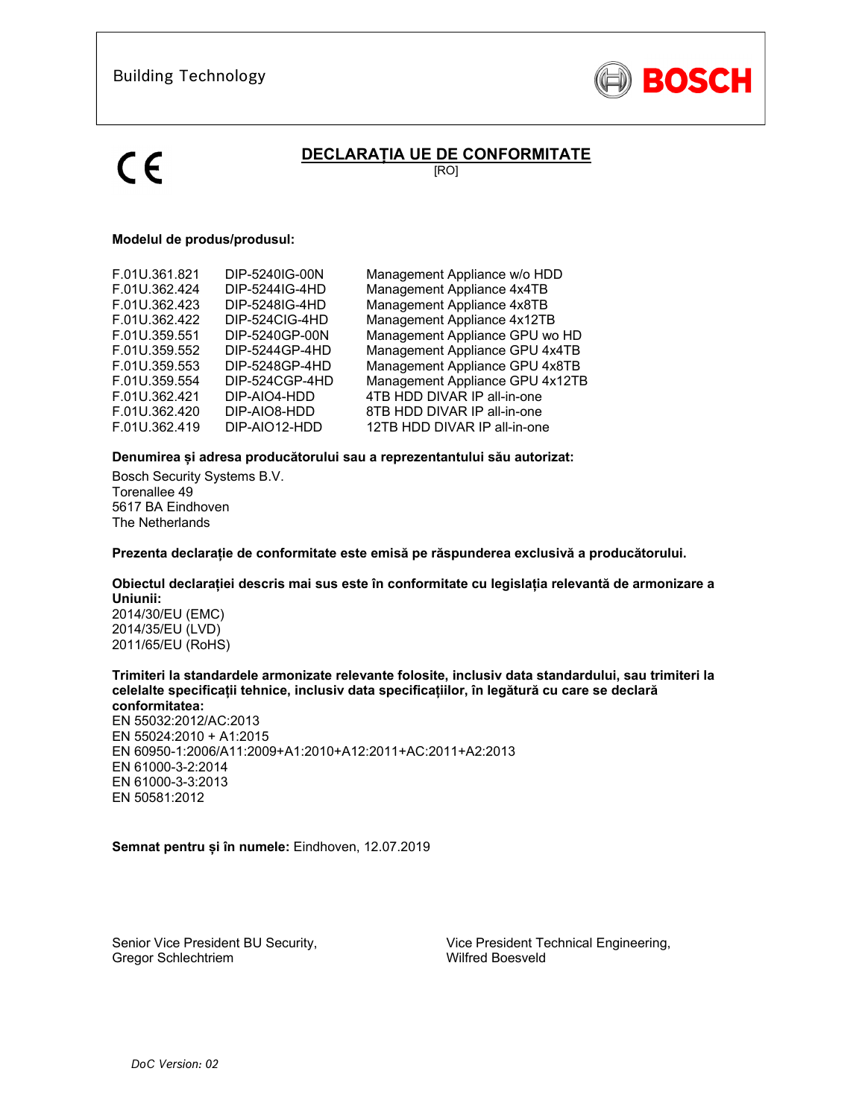

# **DECLARAȚIA UE DE CONFORMITATE**

[RO]

### **Modelul de produs/produsul:**

| F.01U.361.821 | DIP-5240IG-00N | Management Appliance w/o HDD    |
|---------------|----------------|---------------------------------|
| F.01U.362.424 | DIP-5244IG-4HD | Management Appliance 4x4TB      |
| F.01U.362.423 | DIP-5248IG-4HD | Management Appliance 4x8TB      |
| F.01U.362.422 | DIP-524CIG-4HD | Management Appliance 4x12TB     |
| F.01U.359.551 | DIP-5240GP-00N | Management Appliance GPU wo HD  |
| F.01U.359.552 | DIP-5244GP-4HD | Management Appliance GPU 4x4TB  |
| F.01U.359.553 | DIP-5248GP-4HD | Management Appliance GPU 4x8TB  |
| F.01U.359.554 | DIP-524CGP-4HD | Management Appliance GPU 4x12TB |
| F.01U.362.421 | DIP-AIO4-HDD   | 4TB HDD DIVAR IP all-in-one     |
| F.01U.362.420 | DIP-AIO8-HDD   | 8TB HDD DIVAR IP all-in-one     |
| F.01U.362.419 | DIP-AIO12-HDD  | 12TB HDD DIVAR IP all-in-one    |

### **Denumirea și adresa producătorului sau a reprezentantului său autorizat:**

Bosch Security Systems B.V. Torenallee 49 5617 BA Eindhoven The Netherlands

### **Prezenta declarație de conformitate este emisă pe răspunderea exclusivă a producătorului.**

### **Obiectul declarației descris mai sus este în conformitate cu legislația relevantă de armonizare a Uniunii:**

2014/30/EU (EMC) 2014/35/EU (LVD) 2011/65/EU (RoHS)

#### **Trimiteri la standardele armonizate relevante folosite, inclusiv data standardului, sau trimiteri la celelalte specificații tehnice, inclusiv data specificațiilor, în legătură cu care se declară conformitatea:**

EN 55032:2012/AC:2013 EN 55024:2010 + A1:2015 EN 60950-1:2006/A11:2009+A1:2010+A12:2011+AC:2011+A2:2013 EN 61000-3-2:2014 EN 61000-3-3:2013 EN 50581:2012

### **Semnat pentru și în numele:** Eindhoven, 12.07.2019

Senior Vice President BU Security, Gregor Schlechtriem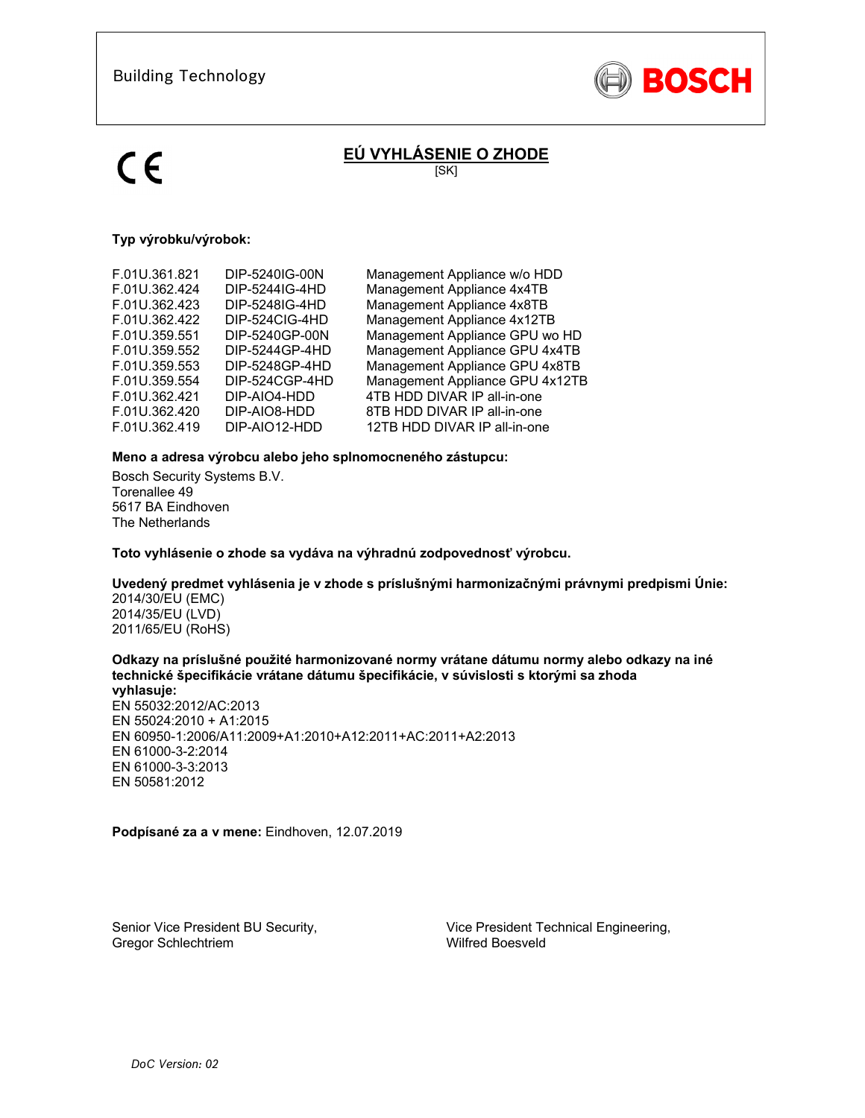

# **EÚ VYHLÁSENIE O ZHODE**

[SK]

# **Typ výrobku/výrobok:**

| F.01U.361.821 | DIP-5240IG-00N | Management Appliance w/o HDD    |
|---------------|----------------|---------------------------------|
| F.01U.362.424 | DIP-5244IG-4HD | Management Appliance 4x4TB      |
| F.01U.362.423 | DIP-5248IG-4HD | Management Appliance 4x8TB      |
| F.01U.362.422 | DIP-524CIG-4HD | Management Appliance 4x12TB     |
| F.01U.359.551 | DIP-5240GP-00N | Management Appliance GPU wo HD  |
| F.01U.359.552 | DIP-5244GP-4HD | Management Appliance GPU 4x4TB  |
| F.01U.359.553 | DIP-5248GP-4HD | Management Appliance GPU 4x8TB  |
| F.01U.359.554 | DIP-524CGP-4HD | Management Appliance GPU 4x12TB |
| F.01U.362.421 | DIP-AIO4-HDD   | 4TB HDD DIVAR IP all-in-one     |
| F.01U.362.420 | DIP-AIO8-HDD   | 8TB HDD DIVAR IP all-in-one     |
| F.01U.362.419 | DIP-AIO12-HDD  | 12TB HDD DIVAR IP all-in-one    |
|               |                |                                 |

## **Meno a adresa výrobcu alebo jeho splnomocneného zástupcu:**

Bosch Security Systems B.V. Torenallee 49 5617 BA Eindhoven The Netherlands

**Toto vyhlásenie o zhode sa vydáva na výhradnú zodpovednosť výrobcu.** 

## **Uvedený predmet vyhlásenia je v zhode s príslušnými harmonizačnými právnymi predpismi Únie:**

2014/30/EU (EMC) 2014/35/EU (LVD) 2011/65/EU (RoHS)

# **Odkazy na príslušné použité harmonizované normy vrátane dátumu normy alebo odkazy na iné technické špecifikácie vrátane dátumu špecifikácie, v súvislosti s ktorými sa zhoda**

**vyhlasuje:**  EN 55032:2012/AC:2013 EN 55024:2010 + A1:2015 EN 60950-1:2006/A11:2009+A1:2010+A12:2011+AC:2011+A2:2013 EN 61000-3-2:2014 EN 61000-3-3:2013 EN 50581:2012

**Podpísané za a v mene:** Eindhoven, 12.07.2019

Senior Vice President BU Security, Gregor Schlechtriem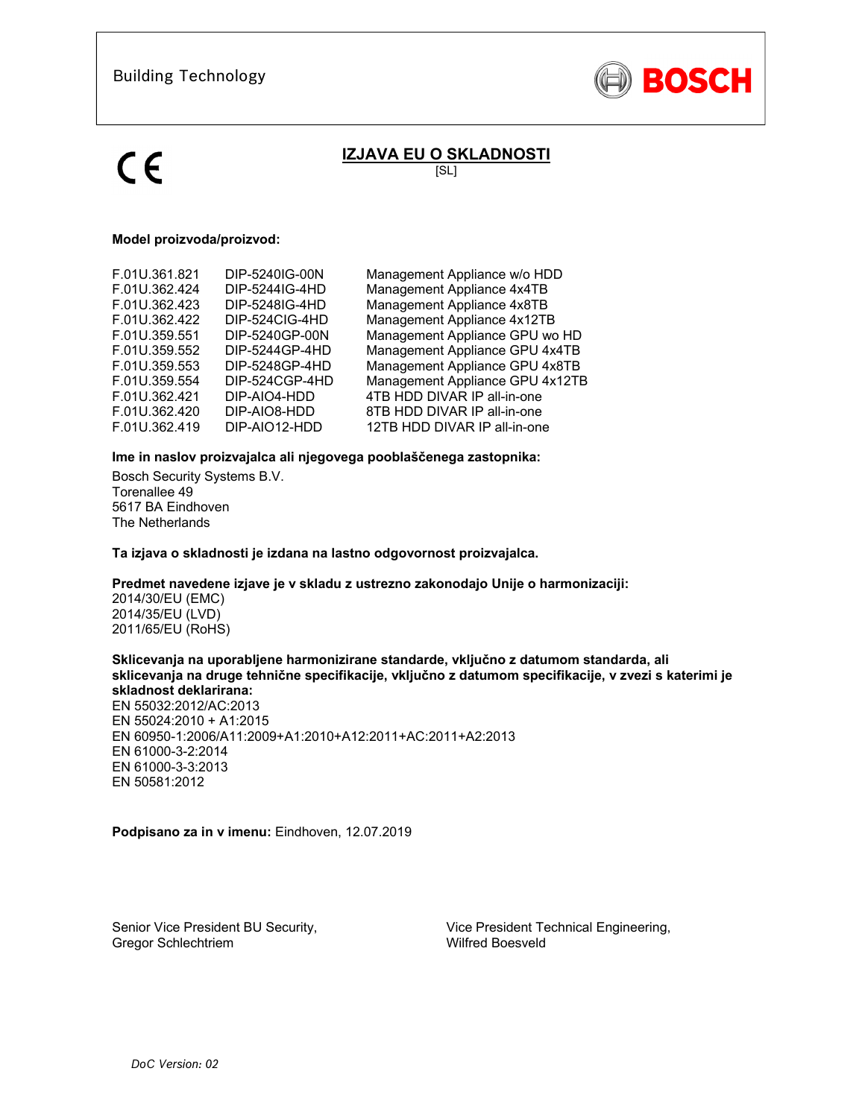

# **IZJAVA EU O SKLADNOSTI**

[SL]

### **Model proizvoda/proizvod:**

| F.01U.361.821 | DIP-5240IG-00N | Management Appliance w/o HDD    |
|---------------|----------------|---------------------------------|
| F.01U.362.424 | DIP-5244IG-4HD | Management Appliance 4x4TB      |
| F.01U.362.423 | DIP-5248IG-4HD | Management Appliance 4x8TB      |
| F.01U.362.422 | DIP-524CIG-4HD | Management Appliance 4x12TB     |
| F.01U.359.551 | DIP-5240GP-00N | Management Appliance GPU wo HD  |
| F.01U.359.552 | DIP-5244GP-4HD | Management Appliance GPU 4x4TB  |
| F.01U.359.553 | DIP-5248GP-4HD | Management Appliance GPU 4x8TB  |
| F.01U.359.554 | DIP-524CGP-4HD | Management Appliance GPU 4x12TB |
| F.01U.362.421 | DIP-AIO4-HDD   | 4TB HDD DIVAR IP all-in-one     |
| F.01U.362.420 | DIP-AIO8-HDD   | 8TB HDD DIVAR IP all-in-one     |
| F.01U.362.419 | DIP-AIO12-HDD  | 12TB HDD DIVAR IP all-in-one    |
|               |                |                                 |

### **Ime in naslov proizvajalca ali njegovega pooblaščenega zastopnika:**

Bosch Security Systems B.V. Torenallee 49 5617 BA Eindhoven The Netherlands

**Ta izjava o skladnosti je izdana na lastno odgovornost proizvajalca.** 

## **Predmet navedene izjave je v skladu z ustrezno zakonodajo Unije o harmonizaciji:**

2014/30/EU (EMC) 2014/35/EU (LVD) 2011/65/EU (RoHS)

#### **Sklicevanja na uporabljene harmonizirane standarde, vključno z datumom standarda, ali sklicevanja na druge tehnične specifikacije, vključno z datumom specifikacije, v zvezi s katerimi je skladnost deklarirana:**

EN 55032:2012/AC:2013 EN 55024:2010 + A1:2015 EN 60950-1:2006/A11:2009+A1:2010+A12:2011+AC:2011+A2:2013 EN 61000-3-2:2014 EN 61000-3-3:2013 EN 50581:2012

**Podpisano za in v imenu:** Eindhoven, 12.07.2019

Senior Vice President BU Security, Gregor Schlechtriem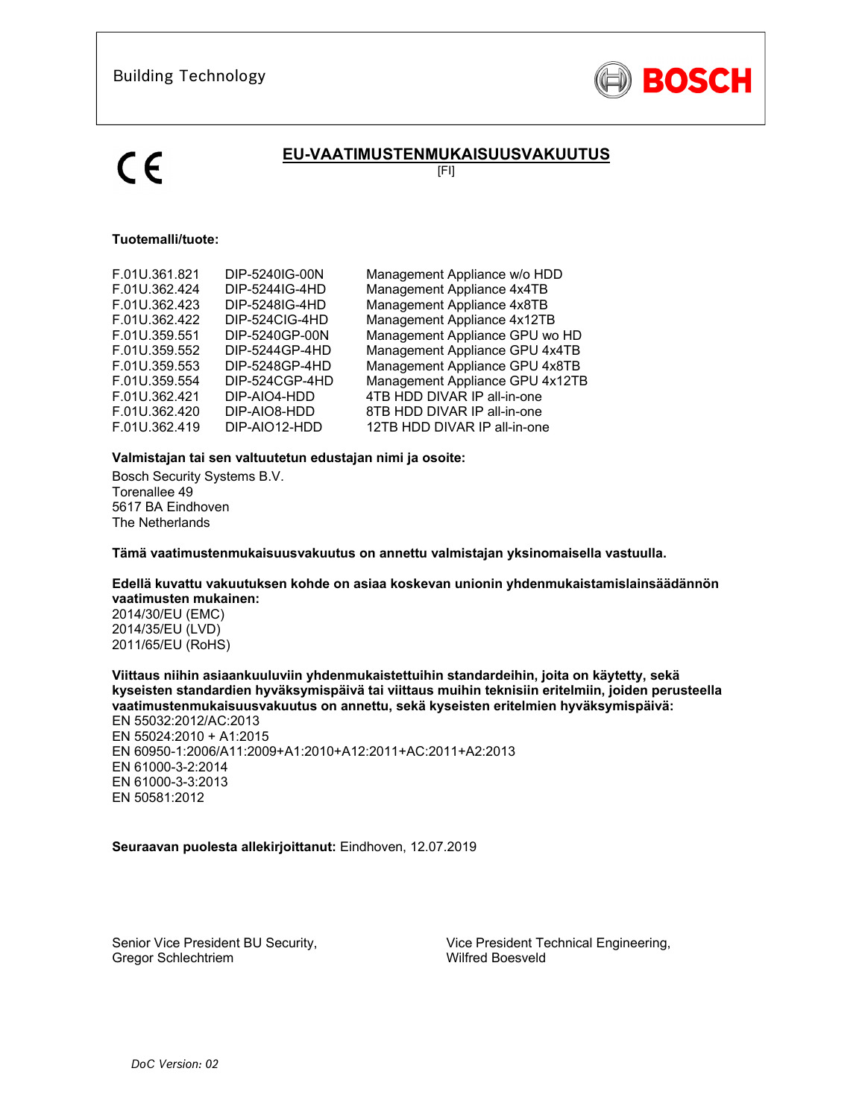

# **EU-VAATIMUSTENMUKAISUUSVAKUUTUS**

[FI]

## **Tuotemalli/tuote:**

| F.01U.361.821 | DIP-5240IG-00N | Management Appliance w/o HDD    |
|---------------|----------------|---------------------------------|
| F.01U.362.424 | DIP-5244IG-4HD | Management Appliance 4x4TB      |
| F.01U.362.423 | DIP-5248IG-4HD | Management Appliance 4x8TB      |
| F.01U.362.422 | DIP-524CIG-4HD | Management Appliance 4x12TB     |
| F.01U.359.551 | DIP-5240GP-00N | Management Appliance GPU wo HD  |
| F.01U.359.552 | DIP-5244GP-4HD | Management Appliance GPU 4x4TB  |
| F.01U.359.553 | DIP-5248GP-4HD | Management Appliance GPU 4x8TB  |
| F.01U.359.554 | DIP-524CGP-4HD | Management Appliance GPU 4x12TB |
| F.01U.362.421 | DIP-AIO4-HDD   | 4TB HDD DIVAR IP all-in-one     |
| F.01U.362.420 | DIP-AIO8-HDD   | 8TB HDD DIVAR IP all-in-one     |
| F.01U.362.419 | DIP-AIO12-HDD  | 12TB HDD DIVAR IP all-in-one    |
|               |                |                                 |

## **Valmistajan tai sen valtuutetun edustajan nimi ja osoite:**

Bosch Security Systems B.V. Torenallee 49 5617 BA Eindhoven The Netherlands

**Tämä vaatimustenmukaisuusvakuutus on annettu valmistajan yksinomaisella vastuulla.** 

### **Edellä kuvattu vakuutuksen kohde on asiaa koskevan unionin yhdenmukaistamislainsäädännön vaatimusten mukainen:**

2014/30/EU (EMC) 2014/35/EU (LVD) 2011/65/EU (RoHS)

## **Viittaus niihin asiaankuuluviin yhdenmukaistettuihin standardeihin, joita on käytetty, sekä kyseisten standardien hyväksymispäivä tai viittaus muihin teknisiin eritelmiin, joiden perusteella vaatimustenmukaisuusvakuutus on annettu, sekä kyseisten eritelmien hyväksymispäivä:**

EN 55032:2012/AC:2013 EN 55024:2010 + A1:2015 EN 60950-1:2006/A11:2009+A1:2010+A12:2011+AC:2011+A2:2013 EN 61000-3-2:2014 EN 61000-3-3:2013 EN 50581:2012

### **Seuraavan puolesta allekirjoittanut:** Eindhoven, 12.07.2019

Senior Vice President BU Security, Gregor Schlechtriem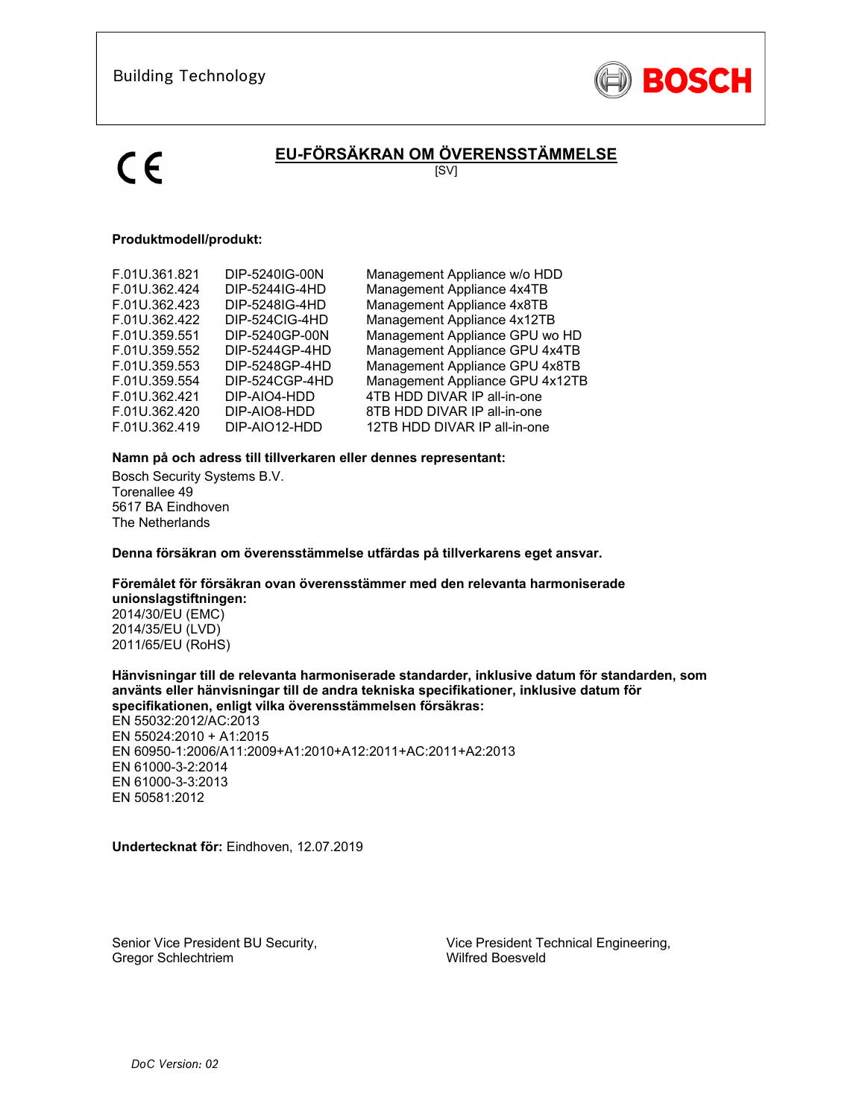

# **EU-FÖRSÄKRAN OM ÖVERENSSTÄMMELSE**

[SV]

### **Produktmodell/produkt:**

| Management Appliance GPU wo HD<br>F.01U.359.551<br>DIP-5240GP-00N<br>F.01U.359.552<br>DIP-5244GP-4HD<br>Management Appliance GPU 4x4TB<br>Management Appliance GPU 4x8TB<br>F.01U.359.553<br>DIP-5248GP-4HD<br>Management Appliance GPU 4x12TB<br>DIP-524CGP-4HD<br>F.01U.359.554<br>F.01U.362.421<br>DIP-AIO4-HDD<br>4TB HDD DIVAR IP all-in-one | Management Appliance w/o HDD<br>Management Appliance 4x12TB |
|---------------------------------------------------------------------------------------------------------------------------------------------------------------------------------------------------------------------------------------------------------------------------------------------------------------------------------------------------|-------------------------------------------------------------|
| F.01U.362.420<br>DIP-AIO8-HDD<br>8TB HDD DIVAR IP all-in-one<br>DIP-AIO12-HDD<br>F.01U.362.419<br>12TB HDD DIVAR IP all-in-one                                                                                                                                                                                                                    |                                                             |

### **Namn på och adress till tillverkaren eller dennes representant:**

Bosch Security Systems B.V. Torenallee 49 5617 BA Eindhoven The Netherlands

**Denna försäkran om överensstämmelse utfärdas på tillverkarens eget ansvar.** 

#### **Föremålet för försäkran ovan överensstämmer med den relevanta harmoniserade unionslagstiftningen:**

2014/30/EU (EMC) 2014/35/EU (LVD) 2011/65/EU (RoHS)

### **Hänvisningar till de relevanta harmoniserade standarder, inklusive datum för standarden, som använts eller hänvisningar till de andra tekniska specifikationer, inklusive datum för specifikationen, enligt vilka överensstämmelsen försäkras:**

EN 55032:2012/AC:2013 EN 55024:2010 + A1:2015 EN 60950-1:2006/A11:2009+A1:2010+A12:2011+AC:2011+A2:2013 EN 61000-3-2:2014 EN 61000-3-3:2013 EN 50581:2012

**Undertecknat för:** Eindhoven, 12.07.2019

Senior Vice President BU Security, Gregor Schlechtriem